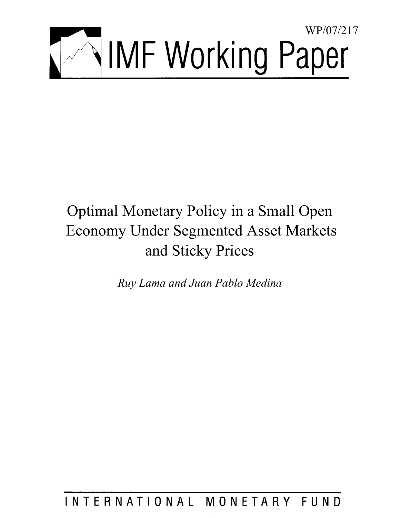

# Optimal Monetary Policy in a Small Open Economy Under Segmented Asset Markets and Sticky Prices

*Ruy Lama and Juan Pablo Medina* 

INTERNATIONAL MONETARY FUND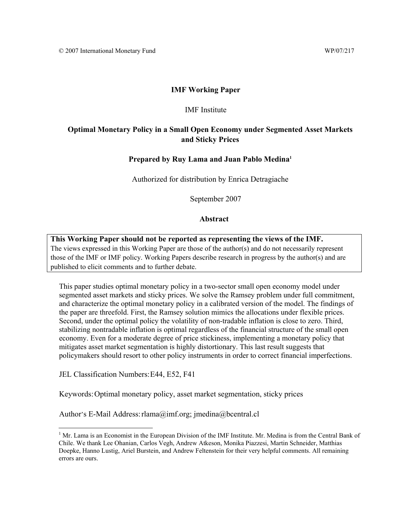#### **IMF Working Paper**

#### IMF Institute

#### **Optimal Monetary Policy in a Small Open Economy under Segmented Asset Markets and Sticky Prices**

#### **Prepared by Ruy Lama and Juan Pablo Medina1**

Authorized for distribution by Enrica Detragiache

September 2007

#### **Abstract**

**This Working Paper should not be reported as representing the views of the IMF.** The views expressed in this Working Paper are those of the author(s) and do not necessarily represent those of the IMF or IMF policy. Working Papers describe research in progress by the author(s) and are published to elicit comments and to further debate.

This paper studies optimal monetary policy in a two-sector small open economy model under segmented asset markets and sticky prices. We solve the Ramsey problem under full commitment, and characterize the optimal monetary policy in a calibrated version of the model. The findings of the paper are threefold. First, the Ramsey solution mimics the allocations under flexible prices. Second, under the optimal policy the volatility of non-tradable inflation is close to zero. Third, stabilizing nontradable inflation is optimal regardless of the financial structure of the small open economy. Even for a moderate degree of price stickiness, implementing a monetary policy that mitigates asset market segmentation is highly distortionary. This last result suggests that policymakers should resort to other policy instruments in order to correct financial imperfections.

JEL Classification Numbers: E44, E52, F41

Keywords: Optimal monetary policy, asset market segmentation, sticky prices

Author's E-Mail Address: rlama@imf.org; jmedina@bcentral.cl

<sup>&</sup>lt;sup>1</sup> Mr. Lama is an Economist in the European Division of the IMF Institute. Mr. Medina is from the Central Bank of Chile. We thank Lee Ohanian, Carlos Vegh, Andrew Atkeson, Monika Piazzesi, Martin Schneider, Matthias Doepke, Hanno Lustig, Ariel Burstein, and Andrew Feltenstein for their very helpful comments. All remaining errors are ours.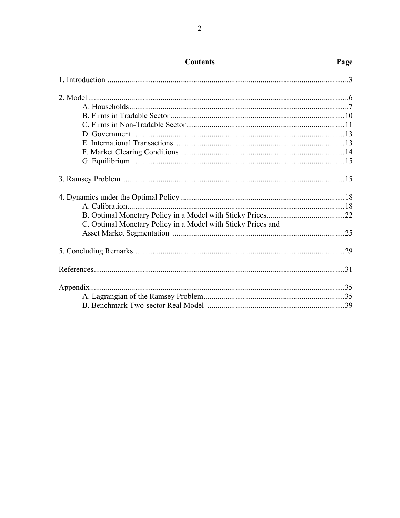| C. Optimal Monetary Policy in a Model with Sticky Prices and |  |
|--------------------------------------------------------------|--|
|                                                              |  |
|                                                              |  |
|                                                              |  |
|                                                              |  |
|                                                              |  |
|                                                              |  |

### **Contents**

### Page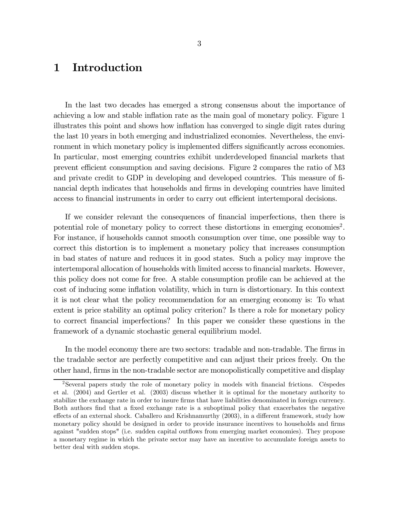### 1 Introduction

In the last two decades has emerged a strong consensus about the importance of achieving a low and stable inflation rate as the main goal of monetary policy. Figure 1 illustrates this point and shows how inflation has converged to single digit rates during the last 10 years in both emerging and industrialized economies. Nevertheless, the environment in which monetary policy is implemented differs significantly across economies. In particular, most emerging countries exhibit underdeveloped financial markets that prevent efficient consumption and saving decisions. Figure 2 compares the ratio of M3 and private credit to GDP in developing and developed countries. This measure of financial depth indicates that households and firms in developing countries have limited access to financial instruments in order to carry out efficient intertemporal decisions.

If we consider relevant the consequences of financial imperfections, then there is potential role of monetary policy to correct these distortions in emerging economies<sup>2</sup>. For instance, if households cannot smooth consumption over time, one possible way to correct this distortion is to implement a monetary policy that increases consumption in bad states of nature and reduces it in good states. Such a policy may improve the intertemporal allocation of households with limited access to financial markets. However, this policy does not come for free. A stable consumption profile can be achieved at the cost of inducing some inflation volatility, which in turn is distortionary. In this context it is not clear what the policy recommendation for an emerging economy is: To what extent is price stability an optimal policy criterion? Is there a role for monetary policy to correct financial imperfections? In this paper we consider these questions in the framework of a dynamic stochastic general equilibrium model.

In the model economy there are two sectors: tradable and non-tradable. The firms in the tradable sector are perfectly competitive and can adjust their prices freely. On the other hand, firms in the non-tradable sector are monopolistically competitive and display

<sup>2</sup>Several papers study the role of monetary policy in models with financial frictions. Céspedes et al. (2004) and Gertler et al. (2003) discuss whether it is optimal for the monetary authority to stabilize the exchange rate in order to insure firms that have liabilities denominated in foreign currency. Both authors find that a fixed exchange rate is a suboptimal policy that exacerbates the negative effects of an external shock. Caballero and Krishnamurthy (2003), in a different framework, study how monetary policy should be designed in order to provide insurance incentives to households and firms against "sudden stops" (i.e. sudden capital outflows from emerging market economies). They propose a monetary regime in which the private sector may have an incentive to accumulate foreign assets to better deal with sudden stops.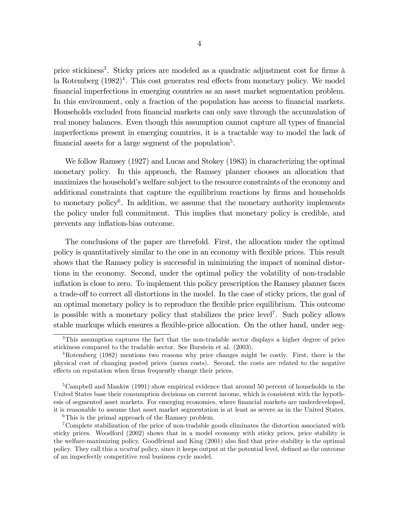price stickiness3. Sticky prices are modeled as a quadratic adjustment cost for firms à la Rotemberg  $(1982)^4$ . This cost generates real effects from monetary policy. We model financial imperfections in emerging countries as an asset market segmentation problem. In this environment, only a fraction of the population has access to financial markets. Households excluded from financial markets can only save through the accumulation of real money balances. Even though this assumption cannot capture all types of financial imperfections present in emerging countries, it is a tractable way to model the lack of financial assets for a large segment of the population<sup>5</sup>.

We follow Ramsey (1927) and Lucas and Stokey (1983) in characterizing the optimal monetary policy. In this approach, the Ramsey planner chooses an allocation that maximizes the household's welfare subject to the resource constraints of the economy and additional constraints that capture the equilibrium reactions by firms and households to monetary policy<sup>6</sup>. In addition, we assume that the monetary authority implements the policy under full commitment. This implies that monetary policy is credible, and prevents any inflation-bias outcome.

The conclusions of the paper are threefold. First, the allocation under the optimal policy is quantitatively similar to the one in an economy with flexible prices. This result shows that the Ramsey policy is successful in minimizing the impact of nominal distortions in the economy. Second, under the optimal policy the volatility of non-tradable inflation is close to zero. To implement this policy prescription the Ramsey planner faces a trade-off to correct all distortions in the model. In the case of sticky prices, the goal of an optimal monetary policy is to reproduce the flexible price equilibrium. This outcome is possible with a monetary policy that stabilizes the price level7. Such policy allows stable markups which ensures a flexible-price allocation. On the other hand, under seg-

<sup>&</sup>lt;sup>3</sup>This assumption captures the fact that the non-tradable sector displays a higher degree of price stickiness compared to the tradable sector. See Burstein et al. (2003).

<sup>4</sup>Rotemberg (1982) mentions two reasons why price changes might be costly. First, there is the physical cost of changing posted prices (menu costs). Second, the costs are related to the negative effects on reputation when firms frequently change their prices.

<sup>&</sup>lt;sup>5</sup>Campbell and Mankiw (1991) show empirical evidence that around 50 percent of households in the United States base their consumption decisions on current income, which is consistent with the hypothesis of segmented asset markets. For emerging economies, where financial markets are underdeveloped, it is reasonable to assume that asset market segmentation is at least as severe as in the United States.  ${}^{6}$ This is the primal approach of the Ramsey problem.

<sup>7</sup>Complete stabilization of the price of non-tradable goods eliminates the distortion associated with sticky prices. Woodford (2002) shows that in a model economy with sticky prices, price stability is the welfare-maximizing policy. Goodfriend and King (2001) also find that price stability is the optimal policy. They call this a neutral policy, since it keeps output at the potential level, defined as the outcome of an imperfectly competitive real business cycle model.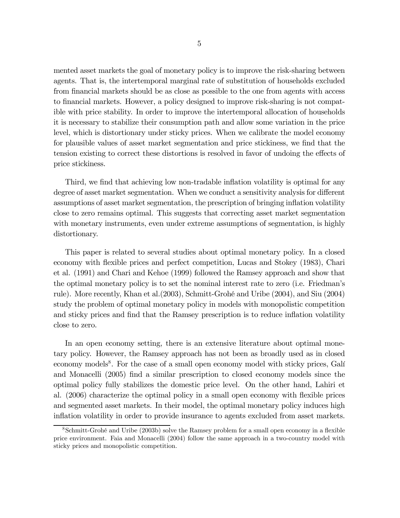mented asset markets the goal of monetary policy is to improve the risk-sharing between agents. That is, the intertemporal marginal rate of substitution of households excluded from financial markets should be as close as possible to the one from agents with access to financial markets. However, a policy designed to improve risk-sharing is not compatible with price stability. In order to improve the intertemporal allocation of households it is necessary to stabilize their consumption path and allow some variation in the price level, which is distortionary under sticky prices. When we calibrate the model economy for plausible values of asset market segmentation and price stickiness, we find that the tension existing to correct these distortions is resolved in favor of undoing the effects of price stickiness.

Third, we find that achieving low non-tradable inflation volatility is optimal for any degree of asset market segmentation. When we conduct a sensitivity analysis for different assumptions of asset market segmentation, the prescription of bringing inflation volatility close to zero remains optimal. This suggests that correcting asset market segmentation with monetary instruments, even under extreme assumptions of segmentation, is highly distortionary.

This paper is related to several studies about optimal monetary policy. In a closed economy with flexible prices and perfect competition, Lucas and Stokey (1983), Chari et al. (1991) and Chari and Kehoe (1999) followed the Ramsey approach and show that the optimal monetary policy is to set the nominal interest rate to zero (i.e. Friedman's rule). More recently, Khan et al.(2003), Schmitt-Grohé and Uribe (2004), and Siu (2004) study the problem of optimal monetary policy in models with monopolistic competition and sticky prices and find that the Ramsey prescription is to reduce inflation volatility close to zero.

In an open economy setting, there is an extensive literature about optimal monetary policy. However, the Ramsey approach has not been as broadly used as in closed economy models<sup>8</sup>. For the case of a small open economy model with sticky prices, Galí and Monacelli (2005) find a similar prescription to closed economy models since the optimal policy fully stabilizes the domestic price level. On the other hand, Lahiri et al. (2006) characterize the optimal policy in a small open economy with flexible prices and segmented asset markets. In their model, the optimal monetary policy induces high inflation volatility in order to provide insurance to agents excluded from asset markets.

<sup>8</sup>Schmitt-Grohé and Uribe (2003b) solve the Ramsey problem for a small open economy in a flexible price environment. Faia and Monacelli (2004) follow the same approach in a two-country model with sticky prices and monopolistic competition.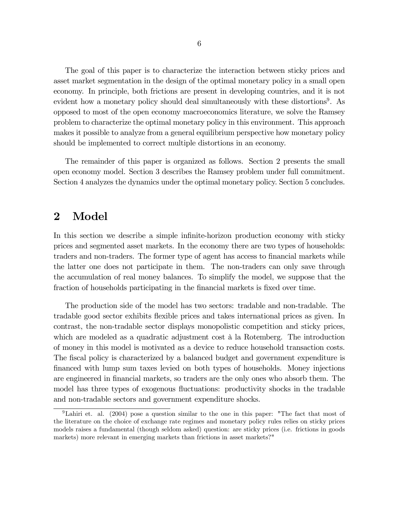The goal of this paper is to characterize the interaction between sticky prices and asset market segmentation in the design of the optimal monetary policy in a small open economy. In principle, both frictions are present in developing countries, and it is not evident how a monetary policy should deal simultaneously with these distortions<sup>9</sup>. As opposed to most of the open economy macroeconomics literature, we solve the Ramsey problem to characterize the optimal monetary policy in this environment. This approach makes it possible to analyze from a general equilibrium perspective how monetary policy should be implemented to correct multiple distortions in an economy.

The remainder of this paper is organized as follows. Section 2 presents the small open economy model. Section 3 describes the Ramsey problem under full commitment. Section 4 analyzes the dynamics under the optimal monetary policy. Section 5 concludes.

### 2 Model

In this section we describe a simple infinite-horizon production economy with sticky prices and segmented asset markets. In the economy there are two types of households: traders and non-traders. The former type of agent has access to financial markets while the latter one does not participate in them. The non-traders can only save through the accumulation of real money balances. To simplify the model, we suppose that the fraction of households participating in the financial markets is fixed over time.

The production side of the model has two sectors: tradable and non-tradable. The tradable good sector exhibits flexible prices and takes international prices as given. In contrast, the non-tradable sector displays monopolistic competition and sticky prices, which are modeled as a quadratic adjustment cost à la Rotemberg. The introduction of money in this model is motivated as a device to reduce household transaction costs. The fiscal policy is characterized by a balanced budget and government expenditure is financed with lump sum taxes levied on both types of households. Money injections are engineered in financial markets, so traders are the only ones who absorb them. The model has three types of exogenous fluctuations: productivity shocks in the tradable and non-tradable sectors and government expenditure shocks.

<sup>&</sup>lt;sup>9</sup>Lahiri et. al. (2004) pose a question similar to the one in this paper: "The fact that most of the literature on the choice of exchange rate regimes and monetary policy rules relies on sticky prices models raises a fundamental (though seldom asked) question: are sticky prices (i.e. frictions in goods markets) more relevant in emerging markets than frictions in asset markets?"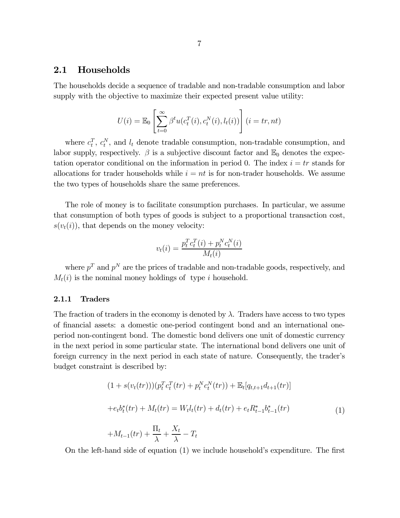#### 2.1 Households

The households decide a sequence of tradable and non-tradable consumption and labor supply with the objective to maximize their expected present value utility:

$$
U(i) = \mathbb{E}_0 \left[ \sum_{t=0}^{\infty} \beta^t u(c_t^T(i), c_t^N(i), l_t(i)) \right] (i = tr, nt)
$$

where  $c_t^T$ ,  $c_t^N$ , and  $l_t$  denote tradable consumption, non-tradable consumption, and labor supply, respectively.  $\beta$  is a subjective discount factor and  $\mathbb{E}_0$  denotes the expectation operator conditional on the information in period 0. The index  $i = tr$  stands for allocations for trader households while  $i = nt$  is for non-trader households. We assume the two types of households share the same preferences.

The role of money is to facilitate consumption purchases. In particular, we assume that consumption of both types of goods is subject to a proportional transaction cost,  $s(v_t(i))$ , that depends on the money velocity:

$$
v_t(i) = \frac{p_t^T c_t^T(i) + p_t^N c_t^N(i)}{M_t(i)}
$$

where  $p^T$  and  $p^N$  are the prices of tradable and non-tradable goods, respectively, and  $M_t(i)$  is the nominal money holdings of type i household.

#### 2.1.1 Traders

The fraction of traders in the economy is denoted by  $\lambda$ . Traders have access to two types of financial assets: a domestic one-period contingent bond and an international oneperiod non-contingent bond. The domestic bond delivers one unit of domestic currency in the next period in some particular state. The international bond delivers one unit of foreign currency in the next period in each state of nature. Consequently, the trader's budget constraint is described by:

$$
(1 + s(v_t(tr)))(p_t^T c_t^T(tr) + p_t^N c_t^N(tr)) + \mathbb{E}_t[q_{t,t+1}dt_{t+1}(tr)]
$$
  
+  $e_t b_t^*(tr) + M_t(tr) = W_t l_t(tr) + d_t(tr) + e_t R_{t-1}^* b_{t-1}^*(tr)$   
+  $M_{t-1}(tr) + \frac{\Pi_t}{\lambda} + \frac{X_t}{\lambda} - T_t$  (1)

On the left-hand side of equation (1) we include household's expenditure. The first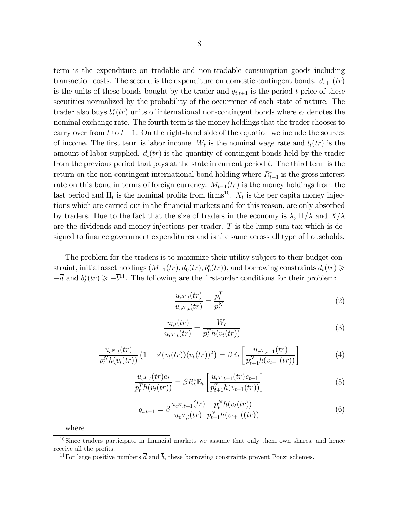term is the expenditure on tradable and non-tradable consumption goods including transaction costs. The second is the expenditure on domestic contingent bonds.  $d_{t+1}(tr)$ is the units of these bonds bought by the trader and  $q_{t,t+1}$  is the period t price of these securities normalized by the probability of the occurrence of each state of nature. The trader also buys  $b_t^*(tr)$  units of international non-contingent bonds where  $e_t$  denotes the nominal exchange rate. The fourth term is the money holdings that the trader chooses to carry over from t to  $t+1$ . On the right-hand side of the equation we include the sources of income. The first term is labor income.  $W_t$  is the nominal wage rate and  $l_t(tr)$  is the amount of labor supplied.  $d_t(tr)$  is the quantity of contingent bonds held by the trader from the previous period that pays at the state in current period  $t$ . The third term is the return on the non-contingent international bond holding where  $R_{t-1}^*$  is the gross interest rate on this bond in terms of foreign currency.  $M_{t-1}(tr)$  is the money holdings from the last period and  $\Pi_t$  is the nominal profits from firms<sup>10</sup>.  $X_t$  is the per capita money injections which are carried out in the financial markets and for this reason, are only absorbed by traders. Due to the fact that the size of traders in the economy is  $\lambda$ ,  $\Pi/\lambda$  and  $X/\lambda$ are the dividends and money injections per trader.  $T$  is the lump sum tax which is designed to finance government expenditures and is the same across all type of households.

The problem for the traders is to maximize their utility subject to their budget constraint, initial asset holdings  $(M_{-1}(tr), d_0(tr), b_0^*(tr))$ , and borrowing constraints  $d_t(tr) \geq$  $-\overline{d}$  and  $b_t^*(tr) \geq -\overline{b}^{11}$ . The following are the first-order conditions for their problem:

$$
\frac{u_{c^T,t}(tr)}{u_{c^N,t}(tr)} = \frac{p_t^T}{p_t^N}
$$
\n
$$
\tag{2}
$$

$$
-\frac{u_{l,t}(tr)}{u_{c^T,t}(tr)} = \frac{W_t}{p_t^T h(v_t(tr))}
$$
\n<sup>(3)</sup>

$$
\frac{u_{c^N,t}(tr)}{p_t^N h(v_t(tr))} \left(1 - s'(v_t(tr))(v_t(tr))^2\right) = \beta \mathbb{E}_t \left[\frac{u_{c^N,t+1}(tr)}{p_{t+1}^N h(v_{t+1}(tr))}\right]
$$
(4)

$$
\frac{u_{c^T,t}(tr)e_t}{p_t^T h(v_t(tr))} = \beta R_t^* \mathbb{E}_t \left[ \frac{u_{c^T,t+1}(tr)e_{t+1}}{p_{t+1}^T h(v_{t+1}(tr))} \right]
$$
(5)

$$
q_{t,t+1} = \beta \frac{u_{c^N,t+1}(tr)}{u_{c^N,t}(tr)} \frac{p_t^N h(v_t(tr))}{p_{t+1}^N h(v_{t+1}((tr))}
$$
(6)

where

 $10$ Since traders participate in financial markets we assume that only them own shares, and hence receive all the profits.

<sup>&</sup>lt;sup>11</sup>For large positive numbers  $\overline{d}$  and  $\overline{b}$ , these borrowing constraints prevent Ponzi schemes.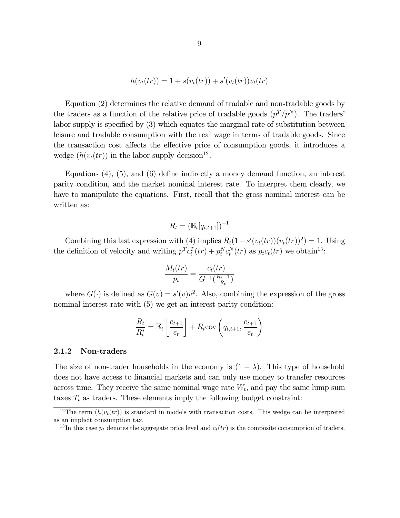$$
h(vt(tr)) = 1 + s(vt(tr)) + s'(vt(tr))vt(tr)
$$

Equation (2) determines the relative demand of tradable and non-tradable goods by the traders as a function of the relative price of tradable goods  $(p^T/p^N)$ . The traders' labor supply is specified by (3) which equates the marginal rate of substitution between leisure and tradable consumption with the real wage in terms of tradable goods. Since the transaction cost affects the effective price of consumption goods, it introduces a wedge  $(h(v_t(tr))$  in the labor supply decision<sup>12</sup>.

Equations (4), (5), and (6) define indirectly a money demand function, an interest parity condition, and the market nominal interest rate. To interpret them clearly, we have to manipulate the equations. First, recall that the gross nominal interest can be written as:

$$
R_t = \left(\mathbb{E}_t[q_{t,t+1}]\right)^{-1}
$$

Combining this last expression with (4) implies  $R_t(1-s'(v_t(tr))(v_t(tr))^2) = 1$ . Using the definition of velocity and writing  $p^T c_t^T (tr) + p_t^N c_t^N (tr)$  as  $p_t c_t (tr)$  we obtain<sup>13</sup>:

$$
\frac{M_t(tr)}{p_t} = \frac{c_t(tr)}{G^{-1}(\frac{R_t - 1}{R_t})}
$$

where  $G(\cdot)$  is defined as  $G(v) = s'(v)v^2$ . Also, combining the expression of the gross nominal interest rate with  $(5)$  we get an interest parity condition:

$$
\frac{R_t}{R_t^*} = \mathbb{E}_t \left[ \frac{e_{t+1}}{e_t} \right] + R_t \text{cov}\left(q_{t,t+1}, \frac{e_{t+1}}{e_t}\right)
$$

#### 2.1.2 Non-traders

The size of non-trader households in the economy is  $(1 - \lambda)$ . This type of household does not have access to financial markets and can only use money to transfer resources across time. They receive the same nominal wage rate  $W_t$ , and pay the same lump sum taxes  $T_t$  as traders. These elements imply the following budget constraint:

<sup>&</sup>lt;sup>12</sup>The term  $(h(v_t(tr))$  is standard in models with transaction costs. This wedge can be interpreted as an implicit consumption tax.

<sup>&</sup>lt;sup>13</sup>In this case  $p_t$  denotes the aggregate price level and  $c_t(tr)$  is the composite consumption of traders.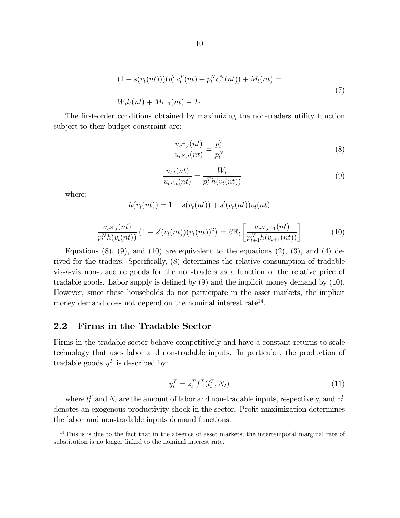$$
(1 + s(vt(nt)))(ptTctT(nt) + ptNctN(nt)) + Mt(nt) =
$$
  
\n
$$
Wtlt(nt) + Mt-1(nt) - Tt
$$
\n(7)

The first-order conditions obtained by maximizing the non-traders utility function subject to their budget constraint are:

$$
\frac{u_{c^T,t}(nt)}{u_{c^N,t}(nt)} = \frac{p_t^T}{p_t^N}
$$
\n(8)

$$
-\frac{u_{l,t}(nt)}{u_{c^T,t}(nt)} = \frac{W_t}{p_t^T h(v_t(nt))}
$$
\n(9)

where:

 $h(v_t(nt)) = 1 + s(v_t(nt)) + s'(v_t(nt))v_t(nt)$ 

$$
\frac{u_{c^N,t}(nt)}{p_t^N h(v_t(nt))} \left(1 - s'(v_t(nt))(v_t(nt))^2\right) = \beta \mathbb{E}_t \left[\frac{u_{c^N,t+1}(nt)}{p_{t+1}^N h(v_{t+1}(nt))}\right] \tag{10}
$$

Equations  $(8)$ ,  $(9)$ , and  $(10)$  are equivalent to the equations  $(2)$ ,  $(3)$ , and  $(4)$  derived for the traders. Specifically, (8) determines the relative consumption of tradable vis-à-vis non-tradable goods for the non-traders as a function of the relative price of tradable goods. Labor supply is defined by (9) and the implicit money demand by (10). However, since these households do not participate in the asset markets, the implicit money demand does not depend on the nominal interest rate<sup>14</sup>.

#### 2.2 Firms in the Tradable Sector

Firms in the tradable sector behave competitively and have a constant returns to scale technology that uses labor and non-tradable inputs. In particular, the production of tradable goods  $y^T$  is described by:

$$
y_t^T = z_t^T f^T (l_t^T, N_t) \tag{11}
$$

where  $l_t^T$  and  $N_t$  are the amount of labor and non-tradable inputs, respectively, and  $z_t^T$ denotes an exogenous productivity shock in the sector. Profit maximization determines the labor and non-tradable inputs demand functions:

 $14$ This is is due to the fact that in the absence of asset markets, the intertemporal marginal rate of substitution is no longer linked to the nominal interest rate.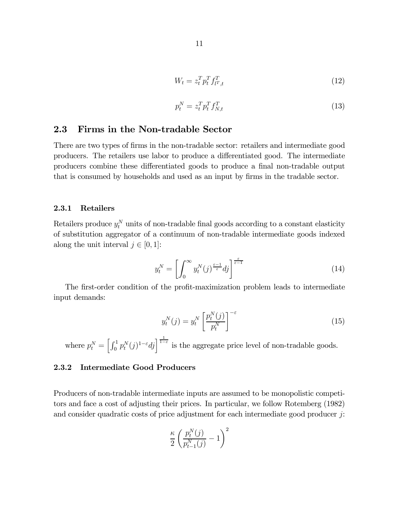$$
W_t = z_t^T p_t^T f_{t^T,t}^T \tag{12}
$$

$$
p_t^N = z_t^T p_t^T f_{N,t}^T \tag{13}
$$

#### 2.3 Firms in the Non-tradable Sector

There are two types of firms in the non-tradable sector: retailers and intermediate good producers. The retailers use labor to produce a differentiated good. The intermediate producers combine these differentiated goods to produce a final non-tradable output that is consumed by households and used as an input by firms in the tradable sector.

#### 2.3.1 Retailers

Retailers produce  $y_t^N$  units of non-tradable final goods according to a constant elasticity of substitution aggregator of a continuum of non-tradable intermediate goods indexed along the unit interval  $j \in [0, 1]$ :

$$
y_t^N = \left[ \int_0^\infty y_t^N(j)^{\frac{\varepsilon - 1}{\varepsilon}} dj \right]^{\frac{\varepsilon}{\varepsilon - 1}} \tag{14}
$$

The first-order condition of the profit-maximization problem leads to intermediate input demands:

$$
y_t^N(j) = y_t^N \left[ \frac{p_t^N(j)}{p_t^N} \right]^{-\varepsilon} \tag{15}
$$

where  $p_t^N = \left[\int_0^1 p_t^N(j)^{1-\varepsilon}dj\right]^{\frac{1}{1-\varepsilon}}$  is the aggregate price level of non-tradable goods.

#### 2.3.2 Intermediate Good Producers

Producers of non-tradable intermediate inputs are assumed to be monopolistic competitors and face a cost of adjusting their prices. In particular, we follow Rotemberg (1982) and consider quadratic costs of price adjustment for each intermediate good producer  $j$ :

$$
\frac{\kappa}{2}\left(\frac{p_t^N(j)}{p_{t-1}^N(j)}-1\right)^2
$$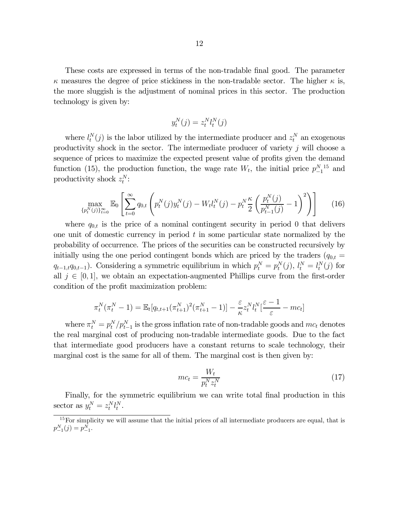These costs are expressed in terms of the non-tradable final good. The parameter  $\kappa$  measures the degree of price stickiness in the non-tradable sector. The higher  $\kappa$  is, the more sluggish is the adjustment of nominal prices in this sector. The production technology is given by:

$$
y_t^N(j) = z_t^N l_t^N(j)
$$

where  $l_t^N(j)$  is the labor utilized by the intermediate producer and  $z_t^N$  an exogenous productivity shock in the sector. The intermediate producer of variety  $j$  will choose a sequence of prices to maximize the expected present value of profits given the demand function (15), the production function, the wage rate  $W_t$ , the initial price  $p_{-1}^{N-15}$  and productivity shock  $z_t^N$ :

$$
\max_{\{p_t^N(j)\}_{t=0}^\infty} \mathbb{E}_0 \left[ \sum_{t=0}^\infty q_{0,t} \left( p_t^N(j) y_t^N(j) - W_t l_t^N(j) - p_t^N \frac{\kappa}{2} \left( \frac{p_t^N(j)}{p_{t-1}^N(j)} - 1 \right)^2 \right) \right]
$$
(16)

where  $q_{0,t}$  is the price of a nominal contingent security in period 0 that delivers one unit of domestic currency in period  $t$  in some particular state normalized by the probability of occurrence. The prices of the securities can be constructed recursively by initially using the one period contingent bonds which are priced by the traders  $(q_{0,t} =$  $q_{t-1,t}q_{0,t-1}$ ). Considering a symmetric equilibrium in which  $p_t^N = p_t^N(j)$ ,  $l_t^N = l_t^N(j)$  for all  $j \in [0, 1]$ , we obtain an expectation-augmented Phillips curve from the first-order condition of the profit maximization problem:

$$
\pi_t^N(\pi_t^N - 1) = \mathbb{E}_t[q_{t,t+1}(\pi_{t+1}^N)^2(\pi_{t+1}^N - 1)] - \frac{\varepsilon}{\kappa} z_t^N l_t^N \left[\frac{\varepsilon - 1}{\varepsilon} - mc_t\right]
$$

where  $\pi_t^N = p_t^N / p_{t-1}^N$  is the gross inflation rate of non-tradable goods and  $mc_t$  denotes the real marginal cost of producing non-tradable intermediate goods. Due to the fact that intermediate good producers have a constant returns to scale technology, their marginal cost is the same for all of them. The marginal cost is then given by:

$$
mc_t = \frac{W_t}{p_t^N z_t^N} \tag{17}
$$

Finally, for the symmetric equilibrium we can write total final production in this sector as  $y_t^N = z_t^N l_t^N$ .

<sup>&</sup>lt;sup>15</sup>For simplicity we will assume that the initial prices of all intermediate producers are equal, that is  $p_{-1}^N(j) = p_{-1}^N.$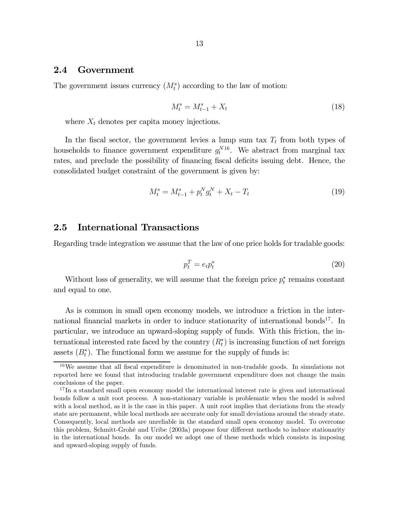#### 2.4 Government

The government issues currency  $(M_t^s)$  according to the law of motion:

$$
M_t^s = M_{t-1}^s + X_t \tag{18}
$$

where  $X_t$  denotes per capita money injections.

In the fiscal sector, the government levies a lump sum tax  $T_t$  from both types of households to finance government expenditure  $g_t^{N16}$ . We abstract from marginal tax rates, and preclude the possibility of financing fiscal deficits issuing debt. Hence, the consolidated budget constraint of the government is given by:

$$
M_t^s = M_{t-1}^s + p_t^N g_t^N + X_t - T_t \tag{19}
$$

#### 2.5 International Transactions

Regarding trade integration we assume that the law of one price holds for tradable goods:

$$
p_t^T = e_t p_t^* \tag{20}
$$

Without loss of generality, we will assume that the foreign price  $p_t^*$  remains constant and equal to one.

As is common in small open economy models, we introduce a friction in the international financial markets in order to induce stationarity of international bonds<sup>17</sup>. In particular, we introduce an upward-sloping supply of funds. With this friction, the international interested rate faced by the country  $(R_t^*)$  is increasing function of net foreign assets  $(B<sub>t</sub><sup>*</sup>)$ . The functional form we assume for the supply of funds is:

<sup>16</sup>We assume that all fiscal expenditure is denominated in non-tradable goods. In simulations not reported here we found that introducing tradable government expenditure does not change the main conclusions of the paper.

 $17$  In a standard small open economy model the international interest rate is given and international bonds follow a unit root process. A non-stationary variable is problematic when the model is solved with a local method, as it is the case in this paper. A unit root implies that deviations from the steady state are permanent, while local methods are accurate only for small deviations around the steady state. Consequently, local methods are unreliable in the standard small open economy model. To overcome this problem, Schmitt-Grohé and Uribe (2003a) propose four different methods to induce stationarity in the international bonds. In our model we adopt one of these methods which consists in imposing and upward-sloping supply of funds.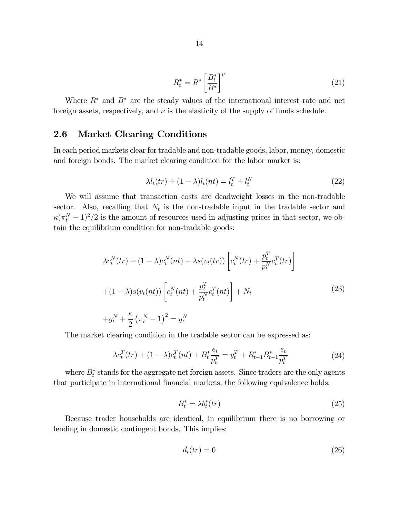$$
R_t^* = R^* \left[ \frac{B_t^*}{B^*} \right]^\nu \tag{21}
$$

Where  $R^*$  and  $B^*$  are the steady values of the international interest rate and net foreign assets, respectively, and  $\nu$  is the elasticity of the supply of funds schedule.

### 2.6 Market Clearing Conditions

In each period markets clear for tradable and non-tradable goods, labor, money, domestic and foreign bonds. The market clearing condition for the labor market is:

$$
\lambda l_t(tr) + (1 - \lambda)l_t(nt) = l_t^T + l_t^N
$$
\n(22)

We will assume that transaction costs are deadweight losses in the non-tradable sector. Also, recalling that  $N_t$  is the non-tradable input in the tradable sector and  $\kappa(\pi_t^N-1)^2/2$  is the amount of resources used in adjusting prices in that sector, we obtain the equilibrium condition for non-tradable goods:

$$
\lambda c_t^N(tr) + (1 - \lambda)c_t^N(nt) + \lambda s(v_t(tr)) \left[c_t^N(tr) + \frac{p_t^T}{p_t^N}c_t^T(tr)\right] + (1 - \lambda)s(v_t(nt)) \left[c_t^N(nt) + \frac{p_t^T}{p_t^N}c_t^T(nt)\right] + N_t
$$
\n
$$
+g_t^N + \frac{\kappa}{2} \left(\pi_t^N - 1\right)^2 = y_t^N
$$
\n(23)

The market clearing condition in the tradable sector can be expressed as:

$$
\lambda c_t^T(tr) + (1 - \lambda)c_t^T(nt) + B_t^* \frac{e_t}{p_t^T} = y_t^T + R_{t-1}^* B_{t-1}^* \frac{e_t}{p_t^T}
$$
\n(24)

where  $B_t^*$  stands for the aggregate net foreign assets. Since traders are the only agents that participate in international financial markets, the following equivalence holds:

$$
B_t^* = \lambda b_t^*(tr) \tag{25}
$$

Because trader households are identical, in equilibrium there is no borrowing or lending in domestic contingent bonds. This implies:

$$
d_t(tr) = 0 \tag{26}
$$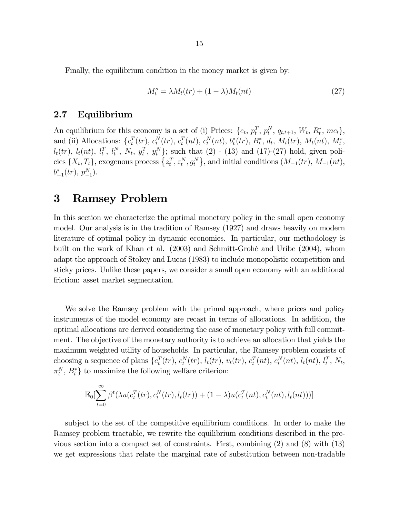Finally, the equilibrium condition in the money market is given by:

$$
M_t^s = \lambda M_t(tr) + (1 - \lambda)M_t(nt)
$$
\n(27)

#### 2.7 Equilibrium

An equilibrium for this economy is a set of (i) Prices:  $\{e_t, p_t^T, p_t^N, q_{t,t+1}, W_t, R_t^*, mc_t\},\$ and (ii) Allocations:  $\{c_t^T(tr), c_t^N(tr), c_t^T(nt), c_t^N(nt), b_t^*(tr), B_t^*, d_t, M_t(tr), M_t(nt), M_t^s,$  $l_t(tr)$ ,  $l_t(nt)$ ,  $l_t^T$ ,  $l_t^N$ ,  $N_t$ ,  $y_t^T$ ,  $y_t^N$ }; such that (2) - (13) and (17)-(27) hold, given policies  $\{X_t, T_t\}$ , exogenous process  $\{z_t^T, z_t^N, g_t^N\}$ , and initial conditions  $(M_{-1}(tr), M_{-1}(nt),$  $b_{-1}^*(tr), p_{-1}^N$ .

### 3 Ramsey Problem

In this section we characterize the optimal monetary policy in the small open economy model. Our analysis is in the tradition of Ramsey (1927) and draws heavily on modern literature of optimal policy in dynamic economies. In particular, our methodology is built on the work of Khan et al. (2003) and Schmitt-Grohé and Uribe (2004), whom adapt the approach of Stokey and Lucas (1983) to include monopolistic competition and sticky prices. Unlike these papers, we consider a small open economy with an additional friction: asset market segmentation.

We solve the Ramsey problem with the primal approach, where prices and policy instruments of the model economy are recast in terms of allocations. In addition, the optimal allocations are derived considering the case of monetary policy with full commitment. The objective of the monetary authority is to achieve an allocation that yields the maximum weighted utility of households. In particular, the Ramsey problem consists of choosing a sequence of plans  $\{c_t^T(tr), c_t^N(tr), l_t(tr), v_t(tr), c_t^T(nt), c_t^N(nt), l_t(nt), l_t^T, N_t,$  $\pi_t^N$ ,  $B_t^*$  to maximize the following welfare criterion:

$$
\mathbb{E}_0[\sum_{t=0}^{\infty} \beta^t(\lambda u(c_t^T(tr), c_t^N(tr), l_t(tr)) + (1 - \lambda)u(c_t^T(nt), c_t^N(nt), l_t(nt)))]
$$

subject to the set of the competitive equilibrium conditions. In order to make the Ramsey problem tractable, we rewrite the equilibrium conditions described in the previous section into a compact set of constraints. First, combining (2) and (8) with (13) we get expressions that relate the marginal rate of substitution between non-tradable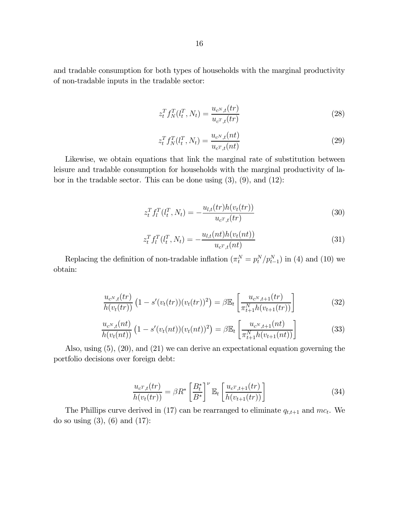and tradable consumption for both types of households with the marginal productivity of non-tradable inputs in the tradable sector:

$$
z_t^T f_N^T(l_t^T, N_t) = \frac{u_{c^N, t}(tr)}{u_{c^T, t}(tr)}
$$
\n(28)

$$
z_t^T f_N^T (l_t^T, N_t) = \frac{u_{c^N, t}(nt)}{u_{c^T, t}(nt)}
$$
\n(29)

Likewise, we obtain equations that link the marginal rate of substitution between leisure and tradable consumption for households with the marginal productivity of labor in the tradable sector. This can be done using  $(3)$ ,  $(9)$ , and  $(12)$ :

$$
z_t^T f_l^T(l_t^T, N_t) = -\frac{u_{l,t}(tr)h(v_t(tr))}{u_{c^T,t}(tr)}
$$
(30)

$$
z_t^T f_l^T(l_t^T, N_t) = -\frac{u_{l,t}(nt)h(v_t(nt))}{u_{c^T,t}(nt)}
$$
(31)

Replacing the definition of non-tradable inflation  $(\pi_k^N = p_t^N/p_{t-1}^N)$  in (4) and (10) we obtain:

$$
\frac{u_{c^N,t}(tr)}{h(v_t(tr))} \left(1 - s'(v_t(tr))(v_t(tr))^2\right) = \beta \mathbb{E}_t \left[\frac{u_{c^N,t+1}(tr)}{\pi_{t+1}^N h(v_{t+1}(tr))}\right]
$$
(32)

$$
\frac{u_{c^N,t}(nt)}{h(v_t(nt))}\left(1-s'(v_t(nt))(v_t(nt))^2\right) = \beta \mathbb{E}_t\left[\frac{u_{c^N,t+1}(nt)}{\pi_{t+1}^N h(v_{t+1}(nt))}\right]
$$
(33)

Also, using (5), (20), and (21) we can derive an expectational equation governing the portfolio decisions over foreign debt:

$$
\frac{u_{c^T,t}(tr)}{h(v_t(tr))} = \beta R^* \left[ \frac{B_t^*}{B^*} \right]^\nu \mathbb{E}_t \left[ \frac{u_{c^T,t+1}(tr)}{h(v_{t+1}(tr))} \right] \tag{34}
$$

The Phillips curve derived in (17) can be rearranged to eliminate  $q_{t,t+1}$  and  $mc_t$ . We do so using  $(3)$ ,  $(6)$  and  $(17)$ :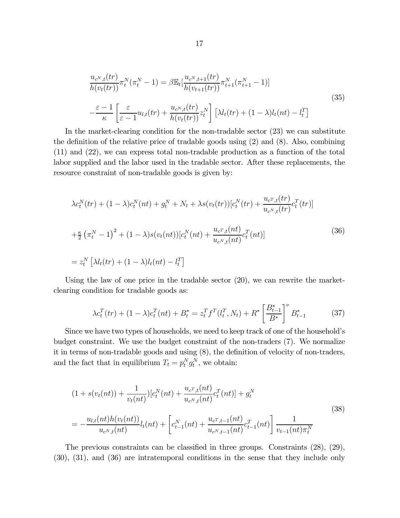$$
\frac{u_{c^N,t}(tr)}{h(v_t(tr))} \pi_t^N(\pi_t^N - 1) = \beta \mathbb{E}_t \left[ \frac{u_{c^N,t+1}(tr)}{h(v_{t+1}(tr))} \pi_{t+1}^N(\pi_{t+1}^N - 1) \right]
$$
\n
$$
-\frac{\varepsilon - 1}{\kappa} \left[ \frac{\varepsilon}{\varepsilon - 1} u_{l,t}(tr) + \frac{u_{c^N,t}(tr)}{h(v_t(tr))} z_t^N \right] \left[ \lambda l_t(tr) + (1 - \lambda) l_t(nt) - l_t^T \right]
$$
\n(35)

In the market-clearing condition for the non-tradable sector (23) we can substitute the definition of the relative price of tradable goods using (2) and (8). Also, combining (11) and (22), we can express total non-tradable production as a function of the total labor supplied and the labor used in the tradable sector. After these replacements, the resource constraint of non-tradable goods is given by:

$$
\lambda c_t^N(tr) + (1 - \lambda)c_t^N(nt) + g_t^N + N_t + \lambda s(v_t(tr))[c_t^N(tr) + \frac{u_{c^T,t}(tr)}{u_{c^N,t}(tr)}c_t^T(tr)]
$$
  
+
$$
\frac{\kappa}{2} \left(\pi_t^N - 1\right)^2 + (1 - \lambda)s(v_t(nt))[c_t^N(nt) + \frac{u_{c^T,t}(nt)}{u_{c^N,t}(nt)}c_t^T(nt)]
$$
  
= 
$$
z_t^N \left[\lambda l_t(tr) + (1 - \lambda)l_t(nt) - l_t^T\right]
$$
 (36)

Using the law of one price in the tradable sector  $(20)$ , we can rewrite the marketclearing condition for tradable goods as:

$$
\lambda c_t^T(tr) + (1 - \lambda)c_t^T(nt) + B_t^* = z_t^T f^T(l_t^T, N_t) + R^* \left[\frac{B_{t-1}^*}{B^*}\right]^\nu B_{t-1}^* \tag{37}
$$

Since we have two types of households, we need to keep track of one of the household's budget constraint. We use the budget constraint of the non-traders (7). We normalize it in terms of non-tradable goods and using (8), the definition of velocity of non-traders, and the fact that in equilibrium  $T_t = p_t^N g_t^N$ , we obtain:

$$
(1 + s(vt(nt)) + \frac{1}{v_t(nt)})[c_t^N(nt) + \frac{u_{c^T,t}(nt)}{u_{c^N,t}(nt)}c_t^T(nt)] + g_t^N
$$
  

$$
= -\frac{u_{l,t}(nt)h(v_t(nt))}{u_{c^N,t}(nt)}l_t(nt) + \left[c_{t-1}^N(nt) + \frac{u_{c^T,t-1}(nt)}{u_{c^N,t-1}(nt)}c_{t-1}^T(nt)\right] \frac{1}{v_{t-1}(nt)\pi_t^N}
$$
(38)

The previous constraints can be classified in three groups. Constraints (28), (29), (30), (31), and (36) are intratemporal conditions in the sense that they include only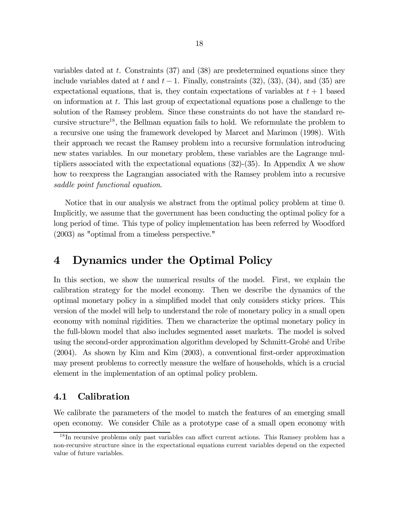variables dated at  $t$ . Constraints  $(37)$  and  $(38)$  are predetermined equations since they include variables dated at t and  $t-1$ . Finally, constraints (32), (33), (34), and (35) are expectational equations, that is, they contain expectations of variables at  $t + 1$  based on information at t. This last group of expectational equations pose a challenge to the solution of the Ramsey problem. Since these constraints do not have the standard recursive structure<sup>18</sup>, the Bellman equation fails to hold. We reformulate the problem to a recursive one using the framework developed by Marcet and Marimon (1998). With their approach we recast the Ramsey problem into a recursive formulation introducing new states variables. In our monetary problem, these variables are the Lagrange multipliers associated with the expectational equations (32)-(35). In Appendix A we show how to reexpress the Lagrangian associated with the Ramsey problem into a recursive saddle point functional equation.

Notice that in our analysis we abstract from the optimal policy problem at time 0. Implicitly, we assume that the government has been conducting the optimal policy for a long period of time. This type of policy implementation has been referred by Woodford (2003) as "optimal from a timeless perspective."

### 4 Dynamics under the Optimal Policy

In this section, we show the numerical results of the model. First, we explain the calibration strategy for the model economy. Then we describe the dynamics of the optimal monetary policy in a simplified model that only considers sticky prices. This version of the model will help to understand the role of monetary policy in a small open economy with nominal rigidities. Then we characterize the optimal monetary policy in the full-blown model that also includes segmented asset markets. The model is solved using the second-order approximation algorithm developed by Schmitt-Grohé and Uribe (2004). As shown by Kim and Kim (2003), a conventional first-order approximation may present problems to correctly measure the welfare of households, which is a crucial element in the implementation of an optimal policy problem.

#### 4.1 Calibration

We calibrate the parameters of the model to match the features of an emerging small open economy. We consider Chile as a prototype case of a small open economy with

<sup>&</sup>lt;sup>18</sup>In recursive problems only past variables can affect current actions. This Ramsey problem has a non-recursive structure since in the expectational equations current variables depend on the expected value of future variables.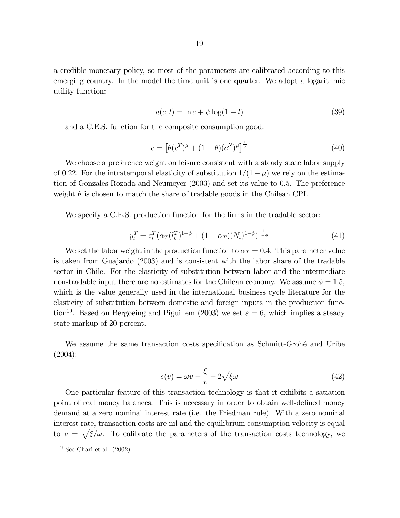a credible monetary policy, so most of the parameters are calibrated according to this emerging country. In the model the time unit is one quarter. We adopt a logarithmic utility function:

$$
u(c, l) = \ln c + \psi \log(1 - l)
$$
\n(39)

and a C.E.S. function for the composite consumption good:

$$
c = \left[\theta(c^T)^{\mu} + (1 - \theta)(c^N)^{\mu}\right]^{\frac{1}{\mu}}
$$
\n(40)

We choose a preference weight on leisure consistent with a steady state labor supply of 0.22. For the intratemporal elasticity of substitution  $1/(1 - \mu)$  we rely on the estimation of Gonzales-Rozada and Neumeyer (2003) and set its value to 0.5. The preference weight  $\theta$  is chosen to match the share of tradable goods in the Chilean CPI.

We specify a C.E.S. production function for the firms in the tradable sector:

$$
y_t^T = z_t^T (\alpha_T (l_t^T)^{1-\phi} + (1 - \alpha_T)(N_t)^{1-\phi})^{\frac{1}{1-\phi}}
$$
(41)

We set the labor weight in the production function to  $\alpha_T = 0.4$ . This parameter value is taken from Guajardo (2003) and is consistent with the labor share of the tradable sector in Chile. For the elasticity of substitution between labor and the intermediate non-tradable input there are no estimates for the Chilean economy. We assume  $\phi = 1.5$ , which is the value generally used in the international business cycle literature for the elasticity of substitution between domestic and foreign inputs in the production function<sup>19</sup>. Based on Bergoeing and Piguillem (2003) we set  $\varepsilon = 6$ , which implies a steady state markup of 20 percent.

We assume the same transaction costs specification as Schmitt-Grohé and Uribe (2004):

$$
s(v) = \omega v + \frac{\xi}{v} - 2\sqrt{\xi\omega}
$$
 (42)

One particular feature of this transaction technology is that it exhibits a satiation point of real money balances. This is necessary in order to obtain well-defined money demand at a zero nominal interest rate (i.e. the Friedman rule). With a zero nominal interest rate, transaction costs are nil and the equilibrium consumption velocity is equal to  $\overline{v} = \sqrt{\xi/\omega}$ . To calibrate the parameters of the transaction costs technology, we

 $19$ See Chari et al.  $(2002)$ .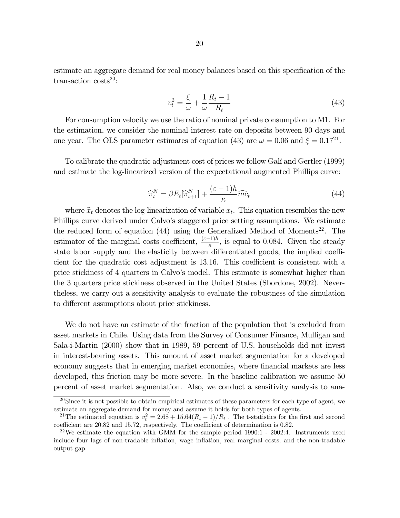estimate an aggregate demand for real money balances based on this specification of the transaction  $\text{costs}^{20}$ :

$$
v_t^2 = \frac{\xi}{\omega} + \frac{1}{\omega} \frac{R_t - 1}{R_t} \tag{43}
$$

For consumption velocity we use the ratio of nominal private consumption to M1. For the estimation, we consider the nominal interest rate on deposits between 90 days and one year. The OLS parameter estimates of equation (43) are  $\omega = 0.06$  and  $\xi = 0.17^{21}$ .

To calibrate the quadratic adjustment cost of prices we follow Galí and Gertler (1999) and estimate the log-linearized version of the expectational augmented Phillips curve:

$$
\widehat{\pi}_t^N = \beta E_t[\widehat{\pi}_{t+1}^N] + \frac{(\varepsilon - 1)h}{\kappa} \widehat{mc}_t \tag{44}
$$

where  $\hat{x}_t$  denotes the log-linearization of variable  $x_t$ . This equation resembles the new Phillips curve derived under Calvo's staggered price setting assumptions. We estimate the reduced form of equation  $(44)$  using the Generalized Method of Moments<sup>22</sup>. The estimator of the marginal costs coefficient,  $\frac{(\varepsilon-1)h}{\kappa}$ , is equal to 0.084. Given the steady state labor supply and the elasticity between differentiated goods, the implied coefficient for the quadratic cost adjustment is 13.16. This coefficient is consistent with a price stickiness of 4 quarters in Calvo's model. This estimate is somewhat higher than the 3 quarters price stickiness observed in the United States (Sbordone, 2002). Nevertheless, we carry out a sensitivity analysis to evaluate the robustness of the simulation to different assumptions about price stickiness.

We do not have an estimate of the fraction of the population that is excluded from asset markets in Chile. Using data from the Survey of Consumer Finance, Mulligan and Sala-i-Martin (2000) show that in 1989, 59 percent of U.S. households did not invest in interest-bearing assets. This amount of asset market segmentation for a developed economy suggests that in emerging market economies, where financial markets are less developed, this friction may be more severe. In the baseline calibration we assume 50 percent of asset market segmentation. Also, we conduct a sensitivity analysis to ana-

<sup>&</sup>lt;sup>20</sup>Since it is not possible to obtain empirical estimates of these parameters for each type of agent, we estimate an aggregate demand for money and assume it holds for both types of agents.

<sup>&</sup>lt;sup>21</sup>The estimated equation is  $v_t^2 = 2.68 + 15.64(R_t - 1)/R_t$ . The t-statistics for the first and second coefficient are 20.82 and 15.72, respectively. The coefficient of determination is 0.82.

<sup>&</sup>lt;sup>22</sup>We estimate the equation with GMM for the sample period 1990:1 - 2002:4. Instruments used include four lags of non-tradable inflation, wage inflation, real marginal costs, and the non-tradable output gap.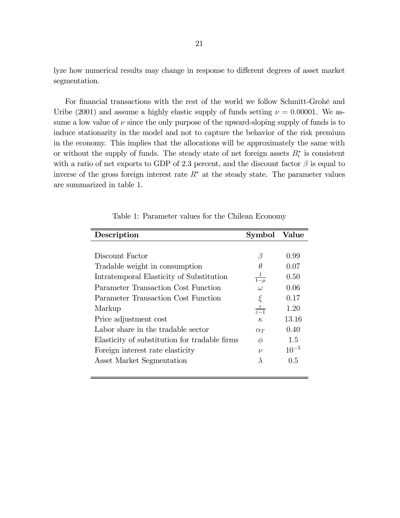lyze how numerical results may change in response to different degrees of asset market segmentation.

For financial transactions with the rest of the world we follow Schmitt-Grohé and Uribe (2001) and assume a highly elastic supply of funds setting  $\nu = 0.00001$ . We assume a low value of  $\nu$  since the only purpose of the upward-sloping supply of funds is to induce stationarity in the model and not to capture the behavior of the risk premium in the economy. This implies that the allocations will be approximately the same with or without the supply of funds. The steady state of net foreign assets  $B_t^*$  is consistent with a ratio of net exports to GDP of 2.3 percent, and the discount factor  $\beta$  is equal to inverse of the gross foreign interest rate  $R^*$  at the steady state. The parameter values are summarized in table 1.

| Description                                   | Symbol                            | Value     |
|-----------------------------------------------|-----------------------------------|-----------|
|                                               |                                   |           |
| Discount Factor                               | β                                 | 0.99      |
| Tradable weight in consumption                | θ                                 | 0.07      |
| Intratemporal Elasticity of Substitution      | $\frac{1}{1-\mu}$                 | 0.50      |
| Parameter Transaction Cost Function           | $\omega$                          | 0.06      |
| Parameter Transaction Cost Function           | $\xi$                             | 0.17      |
| Markup                                        | $rac{\varepsilon}{\varepsilon-1}$ | 1.20      |
| Price adjustment cost                         | $\kappa$                          | 13.16     |
| Labor share in the tradable sector            | $\alpha_T$                        | 0.40      |
| Elasticity of substitution for tradable firms | $\phi$                            | 1.5       |
| Foreign interest rate elasticity              | $\nu$                             | $10^{-5}$ |
| Asset Market Segmentation                     | $\lambda$                         | 0.5       |

Table 1: Parameter values for the Chilean Economy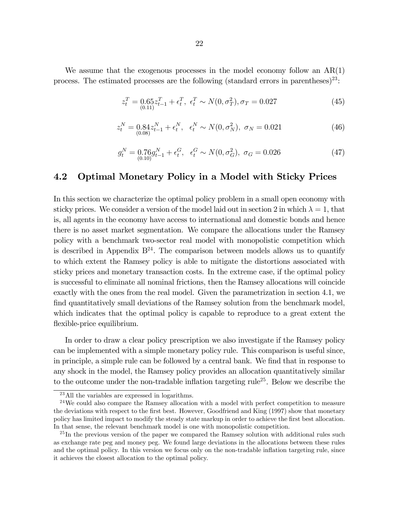We assume that the exogenous processes in the model economy follow an  $AR(1)$ process. The estimated processes are the following (standard errors in parentheses)<sup>23</sup>:

$$
z_t^T = 0.65 z_{t-1}^T + \epsilon_t^T, \ \epsilon_t^T \sim N(0, \sigma_T^2), \sigma_T = 0.027 \tag{45}
$$

$$
z_t^N = 0.84 z_{t-1}^N + \epsilon_t^N, \quad \epsilon_t^N \sim N(0, \sigma_N^2), \quad \sigma_N = 0.021 \tag{46}
$$

$$
g_t^N = 0.76g_{t-1}^N + \epsilon_t^G, \quad \epsilon_t^G \sim N(0, \sigma_G^2), \quad \sigma_G = 0.026 \tag{47}
$$

#### 4.2 Optimal Monetary Policy in a Model with Sticky Prices

In this section we characterize the optimal policy problem in a small open economy with sticky prices. We consider a version of the model laid out in section 2 in which  $\lambda = 1$ , that is, all agents in the economy have access to international and domestic bonds and hence there is no asset market segmentation. We compare the allocations under the Ramsey policy with a benchmark two-sector real model with monopolistic competition which is described in Appendix  $B^{24}$ . The comparison between models allows us to quantify to which extent the Ramsey policy is able to mitigate the distortions associated with sticky prices and monetary transaction costs. In the extreme case, if the optimal policy is successful to eliminate all nominal frictions, then the Ramsey allocations will coincide exactly with the ones from the real model. Given the parametrization in section 4.1, we find quantitatively small deviations of the Ramsey solution from the benchmark model, which indicates that the optimal policy is capable to reproduce to a great extent the flexible-price equilibrium.

In order to draw a clear policy prescription we also investigate if the Ramsey policy can be implemented with a simple monetary policy rule. This comparison is useful since, in principle, a simple rule can be followed by a central bank. We find that in response to any shock in the model, the Ramsey policy provides an allocation quantitatively similar to the outcome under the non-tradable inflation targeting rule<sup>25</sup>. Below we describe the

<sup>23</sup>All the variables are expressed in logarithms.

 $24$ We could also compare the Ramsey allocation with a model with perfect competition to measure the deviations with respect to the first best. However, Goodfriend and King (1997) show that monetary policy has limited impact to modify the steady state markup in order to achieve the first best allocation. In that sense, the relevant benchmark model is one with monopolistic competition.

 $^{25}$ In the previous version of the paper we compared the Ramsey solution with additional rules such as exchange rate peg and money peg. We found large deviations in the allocations between these rules and the optimal policy. In this version we focus only on the non-tradable inflation targeting rule, since it achieves the closest allocation to the optimal policy.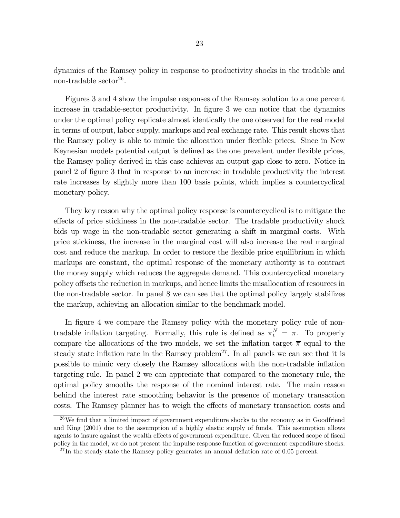dynamics of the Ramsey policy in response to productivity shocks in the tradable and non-tradable sector<sup>26</sup>.

Figures 3 and 4 show the impulse responses of the Ramsey solution to a one percent increase in tradable-sector productivity. In figure 3 we can notice that the dynamics under the optimal policy replicate almost identically the one observed for the real model in terms of output, labor supply, markups and real exchange rate. This result shows that the Ramsey policy is able to mimic the allocation under flexible prices. Since in New Keynesian models potential output is defined as the one prevalent under flexible prices, the Ramsey policy derived in this case achieves an output gap close to zero. Notice in panel 2 of figure 3 that in response to an increase in tradable productivity the interest rate increases by slightly more than 100 basis points, which implies a countercyclical monetary policy.

They key reason why the optimal policy response is countercyclical is to mitigate the effects of price stickiness in the non-tradable sector. The tradable productivity shock bids up wage in the non-tradable sector generating a shift in marginal costs. With price stickiness, the increase in the marginal cost will also increase the real marginal cost and reduce the markup. In order to restore the flexible price equilibrium in which markups are constant, the optimal response of the monetary authority is to contract the money supply which reduces the aggregate demand. This countercyclical monetary policy offsets the reduction in markups, and hence limits the misallocation of resources in the non-tradable sector. In panel 8 we can see that the optimal policy largely stabilizes the markup, achieving an allocation similar to the benchmark model.

In figure 4 we compare the Ramsey policy with the monetary policy rule of nontradable inflation targeting. Formally, this rule is defined as  $\pi_t^N = \overline{\pi}$ . To properly compare the allocations of the two models, we set the inflation target  $\bar{\pi}$  equal to the steady state inflation rate in the Ramsey problem<sup>27</sup>. In all panels we can see that it is possible to mimic very closely the Ramsey allocations with the non-tradable inflation targeting rule. In panel 2 we can appreciate that compared to the monetary rule, the optimal policy smooths the response of the nominal interest rate. The main reason behind the interest rate smoothing behavior is the presence of monetary transaction costs. The Ramsey planner has to weigh the effects of monetary transaction costs and

<sup>26</sup>We find that a limited impact of government expenditure shocks to the economy as in Goodfriend and King (2001) due to the assumption of a highly elastic supply of funds. This assumption allows agents to insure against the wealth effects of government expenditure. Given the reduced scope of fiscal policy in the model, we do not present the impulse response function of government expenditure shocks.

<sup>&</sup>lt;sup>27</sup>In the steady state the Ramsey policy generates an annual deflation rate of 0.05 percent.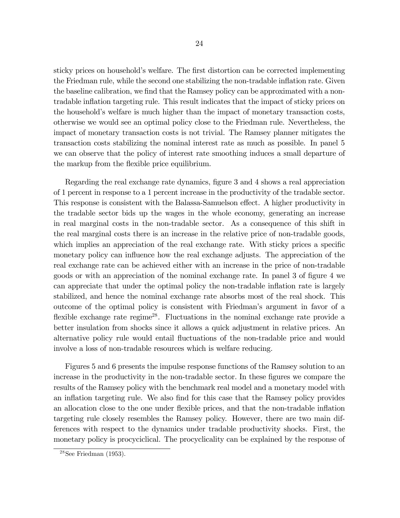sticky prices on household's welfare. The first distortion can be corrected implementing the Friedman rule, while the second one stabilizing the non-tradable inflation rate. Given the baseline calibration, we find that the Ramsey policy can be approximated with a nontradable inflation targeting rule. This result indicates that the impact of sticky prices on the household's welfare is much higher than the impact of monetary transaction costs, otherwise we would see an optimal policy close to the Friedman rule. Nevertheless, the impact of monetary transaction costs is not trivial. The Ramsey planner mitigates the transaction costs stabilizing the nominal interest rate as much as possible. In panel 5 we can observe that the policy of interest rate smoothing induces a small departure of the markup from the flexible price equilibrium.

Regarding the real exchange rate dynamics, figure 3 and 4 shows a real appreciation of 1 percent in response to a 1 percent increase in the productivity of the tradable sector. This response is consistent with the Balassa-Samuelson effect. A higher productivity in the tradable sector bids up the wages in the whole economy, generating an increase in real marginal costs in the non-tradable sector. As a consequence of this shift in the real marginal costs there is an increase in the relative price of non-tradable goods, which implies an appreciation of the real exchange rate. With sticky prices a specific monetary policy can influence how the real exchange adjusts. The appreciation of the real exchange rate can be achieved either with an increase in the price of non-tradable goods or with an appreciation of the nominal exchange rate. In panel 3 of figure 4 we can appreciate that under the optimal policy the non-tradable inflation rate is largely stabilized, and hence the nominal exchange rate absorbs most of the real shock. This outcome of the optimal policy is consistent with Friedman's argument in favor of a flexible exchange rate regime<sup>28</sup>. Fluctuations in the nominal exchange rate provide a better insulation from shocks since it allows a quick adjustment in relative prices. An alternative policy rule would entail fluctuations of the non-tradable price and would involve a loss of non-tradable resources which is welfare reducing.

Figures 5 and 6 presents the impulse response functions of the Ramsey solution to an increase in the productivity in the non-tradable sector. In these figures we compare the results of the Ramsey policy with the benchmark real model and a monetary model with an inflation targeting rule. We also find for this case that the Ramsey policy provides an allocation close to the one under flexible prices, and that the non-tradable inflation targeting rule closely resembles the Ramsey policy. However, there are two main differences with respect to the dynamics under tradable productivity shocks. First, the monetary policy is procyciclical. The procyclicality can be explained by the response of

 $28$ See Friedman (1953).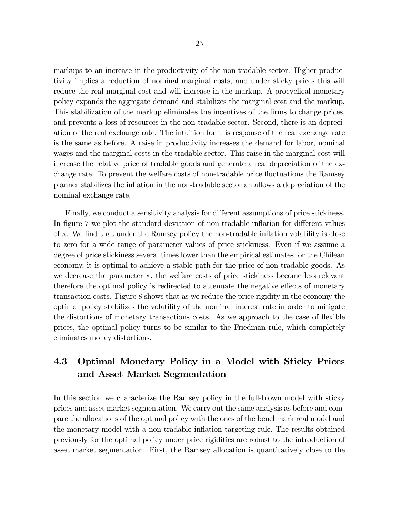markups to an increase in the productivity of the non-tradable sector. Higher productivity implies a reduction of nominal marginal costs, and under sticky prices this will reduce the real marginal cost and will increase in the markup. A procyclical monetary policy expands the aggregate demand and stabilizes the marginal cost and the markup. This stabilization of the markup eliminates the incentives of the firms to change prices, and prevents a loss of resources in the non-tradable sector. Second, there is an depreciation of the real exchange rate. The intuition for this response of the real exchange rate is the same as before. A raise in productivity increases the demand for labor, nominal wages and the marginal costs in the tradable sector. This raise in the marginal cost will increase the relative price of tradable goods and generate a real depreciation of the exchange rate. To prevent the welfare costs of non-tradable price fluctuations the Ramsey planner stabilizes the inflation in the non-tradable sector an allows a depreciation of the nominal exchange rate.

Finally, we conduct a sensitivity analysis for different assumptions of price stickiness. In figure 7 we plot the standard deviation of non-tradable inflation for different values of  $\kappa$ . We find that under the Ramsey policy the non-tradable inflation volatility is close to zero for a wide range of parameter values of price stickiness. Even if we assume a degree of price stickiness several times lower than the empirical estimates for the Chilean economy, it is optimal to achieve a stable path for the price of non-tradable goods. As we decrease the parameter  $\kappa$ , the welfare costs of price stickiness become less relevant therefore the optimal policy is redirected to attenuate the negative effects of monetary transaction costs. Figure 8 shows that as we reduce the price rigidity in the economy the optimal policy stabilizes the volatility of the nominal interest rate in order to mitigate the distortions of monetary transactions costs. As we approach to the case of flexible prices, the optimal policy turns to be similar to the Friedman rule, which completely eliminates money distortions.

### 4.3 Optimal Monetary Policy in a Model with Sticky Prices and Asset Market Segmentation

In this section we characterize the Ramsey policy in the full-blown model with sticky prices and asset market segmentation. We carry out the same analysis as before and compare the allocations of the optimal policy with the ones of the benchmark real model and the monetary model with a non-tradable inflation targeting rule. The results obtained previously for the optimal policy under price rigidities are robust to the introduction of asset market segmentation. First, the Ramsey allocation is quantitatively close to the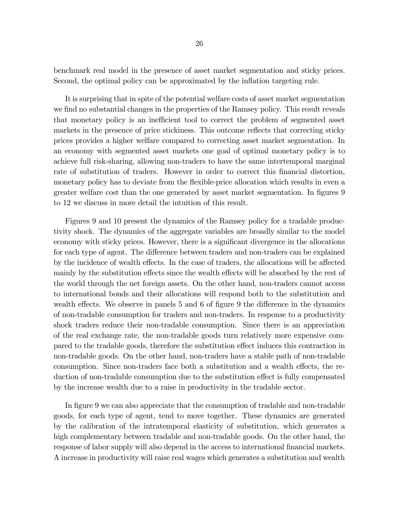benchmark real model in the presence of asset market segmentation and sticky prices. Second, the optimal policy can be approximated by the inflation targeting rule.

It is surprising that in spite of the potential welfare costs of asset market segmentation we find no substantial changes in the properties of the Ramsey policy. This result reveals that monetary policy is an inefficient tool to correct the problem of segmented asset markets in the presence of price stickiness. This outcome reflects that correcting sticky prices provides a higher welfare compared to correcting asset market segmentation. In an economy with segmented asset markets one goal of optimal monetary policy is to achieve full risk-sharing, allowing non-traders to have the same intertemporal marginal rate of substitution of traders. However in order to correct this financial distortion, monetary policy has to deviate from the flexible-price allocation which results in even a greater welfare cost than the one generated by asset market segmentation. In figures 9 to 12 we discuss in more detail the intuition of this result.

Figures 9 and 10 present the dynamics of the Ramsey policy for a tradable productivity shock. The dynamics of the aggregate variables are broadly similar to the model economy with sticky prices. However, there is a significant divergence in the allocations for each type of agent. The difference between traders and non-traders can be explained by the incidence of wealth effects. In the case of traders, the allocations will be affected mainly by the substitution effects since the wealth effects will be absorbed by the rest of the world through the net foreign assets. On the other hand, non-traders cannot access to international bonds and their allocations will respond both to the substitution and wealth effects. We observe in panels 5 and 6 of figure 9 the difference in the dynamics of non-tradable consumption for traders and non-traders. In response to a productivity shock traders reduce their non-tradable consumption. Since there is an appreciation of the real exchange rate, the non-tradable goods turn relatively more expensive compared to the tradable goods, therefore the substitution effect induces this contraction in non-tradable goods. On the other hand, non-traders have a stable path of non-tradable consumption. Since non-traders face both a substitution and a wealth effects, the reduction of non-tradable consumption due to the substitution effect is fully compensated by the increase wealth due to a raise in productivity in the tradable sector.

In figure 9 we can also appreciate that the consumption of tradable and non-tradable goods, for each type of agent, tend to move together. These dynamics are generated by the calibration of the intratemporal elasticity of substitution, which generates a high complementary between tradable and non-tradable goods. On the other hand, the response of labor supply will also depend in the access to international financial markets. A increase in productivity will raise real wages which generates a substitution and wealth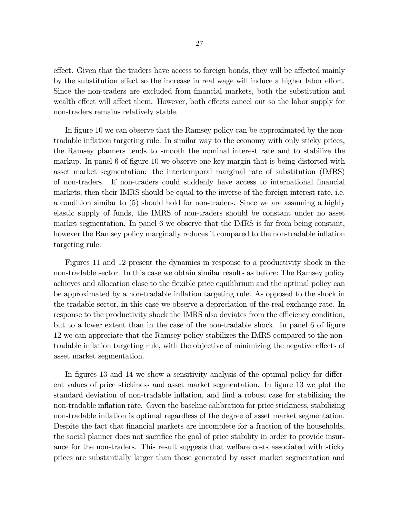effect. Given that the traders have access to foreign bonds, they will be affected mainly by the substitution effect so the increase in real wage will induce a higher labor effort. Since the non-traders are excluded from financial markets, both the substitution and wealth effect will affect them. However, both effects cancel out so the labor supply for non-traders remains relatively stable.

In figure 10 we can observe that the Ramsey policy can be approximated by the nontradable inflation targeting rule. In similar way to the economy with only sticky prices, the Ramsey planners tends to smooth the nominal interest rate and to stabilize the markup. In panel 6 of figure 10 we observe one key margin that is being distorted with asset market segmentation: the intertemporal marginal rate of substitution (IMRS) of non-traders. If non-traders could suddenly have access to international financial markets, then their IMRS should be equal to the inverse of the foreign interest rate, i.e. a condition similar to (5) should hold for non-traders. Since we are assuming a highly elastic supply of funds, the IMRS of non-traders should be constant under no asset market segmentation. In panel 6 we observe that the IMRS is far from being constant, however the Ramsey policy marginally reduces it compared to the non-tradable inflation targeting rule.

Figures 11 and 12 present the dynamics in response to a productivity shock in the non-tradable sector. In this case we obtain similar results as before: The Ramsey policy achieves and allocation close to the flexible price equilibrium and the optimal policy can be approximated by a non-tradable inflation targeting rule. As opposed to the shock in the tradable sector, in this case we observe a depreciation of the real exchange rate. In response to the productivity shock the IMRS also deviates from the efficiency condition, but to a lower extent than in the case of the non-tradable shock. In panel 6 of figure 12 we can appreciate that the Ramsey policy stabilizes the IMRS compared to the nontradable inflation targeting rule, with the objective of minimizing the negative effects of asset market segmentation.

In figures 13 and 14 we show a sensitivity analysis of the optimal policy for different values of price stickiness and asset market segmentation. In figure 13 we plot the standard deviation of non-tradable inflation, and find a robust case for stabilizing the non-tradable inflation rate. Given the baseline calibration for price stickiness, stabilizing non-tradable inflation is optimal regardless of the degree of asset market segmentation. Despite the fact that financial markets are incomplete for a fraction of the households, the social planner does not sacrifice the goal of price stability in order to provide insurance for the non-traders. This result suggests that welfare costs associated with sticky prices are substantially larger than those generated by asset market segmentation and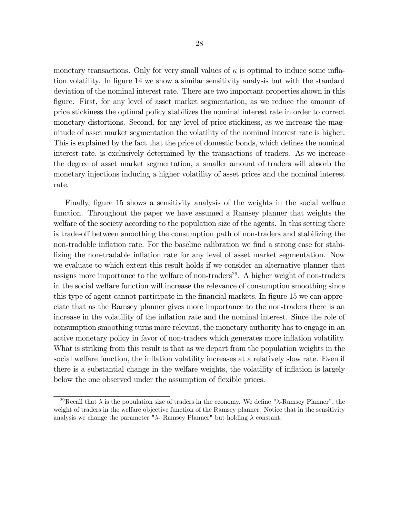monetary transactions. Only for very small values of  $\kappa$  is optimal to induce some inflation volatility. In figure 14 we show a similar sensitivity analysis but with the standard deviation of the nominal interest rate. There are two important properties shown in this figure. First, for any level of asset market segmentation, as we reduce the amount of price stickiness the optimal policy stabilizes the nominal interest rate in order to correct monetary distortions. Second, for any level of price stickiness, as we increase the magnitude of asset market segmentation the volatility of the nominal interest rate is higher. This is explained by the fact that the price of domestic bonds, which defines the nominal interest rate, is exclusively determined by the transactions of traders. As we increase the degree of asset market segmentation, a smaller amount of traders will absorb the monetary injections inducing a higher volatility of asset prices and the nominal interest rate.

Finally, figure 15 shows a sensitivity analysis of the weights in the social welfare function. Throughout the paper we have assumed a Ramsey planner that weights the welfare of the society according to the population size of the agents. In this setting there is trade-off between smoothing the consumption path of non-traders and stabilizing the non-tradable inflation rate. For the baseline calibration we find a strong case for stabilizing the non-tradable inflation rate for any level of asset market segmentation. Now we evaluate to which extent this result holds if we consider an alternative planner that assigns more importance to the welfare of non-traders<sup>29</sup>. A higher weight of non-traders in the social welfare function will increase the relevance of consumption smoothing since this type of agent cannot participate in the financial markets. In figure 15 we can appreciate that as the Ramsey planner gives more importance to the non-traders there is an increase in the volatility of the inflation rate and the nominal interest. Since the role of consumption smoothing turns more relevant, the monetary authority has to engage in an active monetary policy in favor of non-traders which generates more inflation volatility. What is striking from this result is that as we depart from the population weights in the social welfare function, the inflation volatility increases at a relatively slow rate. Even if there is a substantial change in the welfare weights, the volatility of inflation is largely below the one observed under the assumption of flexible prices.

<sup>&</sup>lt;sup>29</sup>Recall that  $\lambda$  is the population size of traders in the economy. We define " $\lambda$ -Ramsey Planner", the weight of traders in the welfare objective function of the Ramsey planner. Notice that in the sensitivity analysis we change the parameter " $\lambda$ - Ramsey Planner" but holding  $\lambda$  constant.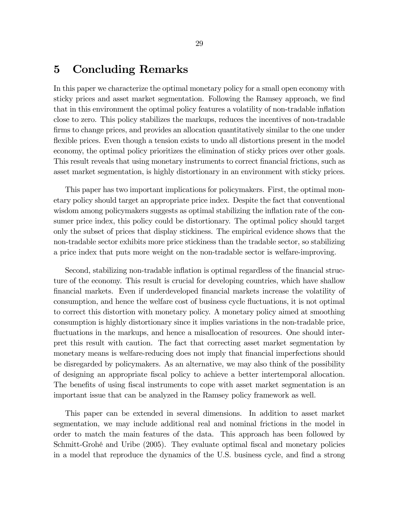### 5 Concluding Remarks

In this paper we characterize the optimal monetary policy for a small open economy with sticky prices and asset market segmentation. Following the Ramsey approach, we find that in this environment the optimal policy features a volatility of non-tradable inflation close to zero. This policy stabilizes the markups, reduces the incentives of non-tradable firms to change prices, and provides an allocation quantitatively similar to the one under flexible prices. Even though a tension exists to undo all distortions present in the model economy, the optimal policy prioritizes the elimination of sticky prices over other goals. This result reveals that using monetary instruments to correct financial frictions, such as asset market segmentation, is highly distortionary in an environment with sticky prices.

This paper has two important implications for policymakers. First, the optimal monetary policy should target an appropriate price index. Despite the fact that conventional wisdom among policymakers suggests as optimal stabilizing the inflation rate of the consumer price index, this policy could be distortionary. The optimal policy should target only the subset of prices that display stickiness. The empirical evidence shows that the non-tradable sector exhibits more price stickiness than the tradable sector, so stabilizing a price index that puts more weight on the non-tradable sector is welfare-improving.

Second, stabilizing non-tradable inflation is optimal regardless of the financial structure of the economy. This result is crucial for developing countries, which have shallow financial markets. Even if underdeveloped financial markets increase the volatility of consumption, and hence the welfare cost of business cycle fluctuations, it is not optimal to correct this distortion with monetary policy. A monetary policy aimed at smoothing consumption is highly distortionary since it implies variations in the non-tradable price, fluctuations in the markups, and hence a misallocation of resources. One should interpret this result with caution. The fact that correcting asset market segmentation by monetary means is welfare-reducing does not imply that financial imperfections should be disregarded by policymakers. As an alternative, we may also think of the possibility of designing an appropriate fiscal policy to achieve a better intertemporal allocation. The benefits of using fiscal instruments to cope with asset market segmentation is an important issue that can be analyzed in the Ramsey policy framework as well.

This paper can be extended in several dimensions. In addition to asset market segmentation, we may include additional real and nominal frictions in the model in order to match the main features of the data. This approach has been followed by Schmitt-Grohé and Uribe (2005). They evaluate optimal fiscal and monetary policies in a model that reproduce the dynamics of the U.S. business cycle, and find a strong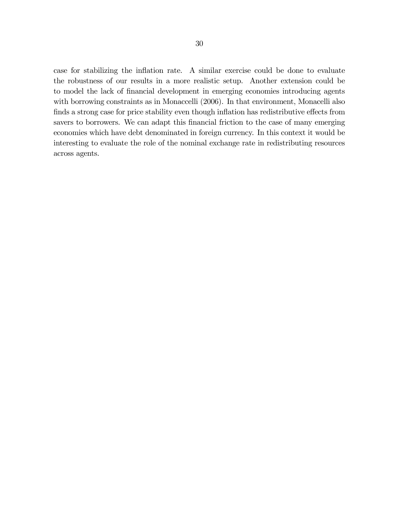case for stabilizing the inflation rate. A similar exercise could be done to evaluate the robustness of our results in a more realistic setup. Another extension could be to model the lack of financial development in emerging economies introducing agents with borrowing constraints as in Monaccelli (2006). In that environment, Monacelli also finds a strong case for price stability even though inflation has redistributive effects from savers to borrowers. We can adapt this financial friction to the case of many emerging economies which have debt denominated in foreign currency. In this context it would be interesting to evaluate the role of the nominal exchange rate in redistributing resources across agents.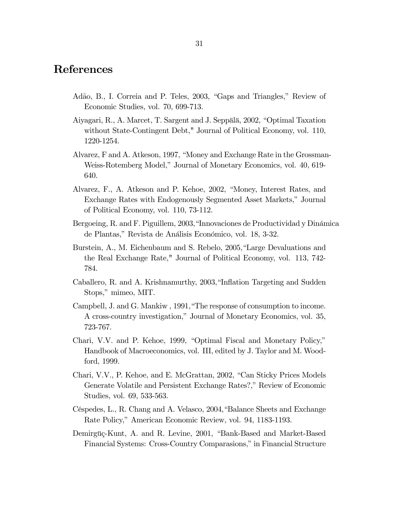### References

- Adão, B., I. Correia and P. Teles, 2003, "Gaps and Triangles," Review of Economic Studies, vol. 70, 699-713.
- Aiyagari, R., A. Marcet, T. Sargent and J. Seppälä, 2002, "Optimal Taxation without State-Contingent Debt," Journal of Political Economy, vol. 110, 1220-1254.
- Alvarez, F and A. Atkeson, 1997, "Money and Exchange Rate in the Grossman-Weiss-Rotemberg Model," Journal of Monetary Economics, vol. 40, 619- 640.
- Alvarez, F., A. Atkeson and P. Kehoe, 2002, "Money, Interest Rates, and Exchange Rates with Endogenously Segmented Asset Markets," Journal of Political Economy, vol. 110, 73-112.
- Bergoeing, R. and F. Piguillem, 2003,"Innovaciones de Productividad y Dinámica de Plantas," Revista de Análisis Económico, vol. 18, 3-32.
- Burstein, A., M. Eichenbaum and S. Rebelo, 2005,"Large Devaluations and the Real Exchange Rate," Journal of Political Economy, vol. 113, 742- 784.
- Caballero, R. and A. Krishnamurthy, 2003,"Inflation Targeting and Sudden Stops," mimeo, MIT.
- Campbell, J. and G. Mankiw , 1991,"The response of consumption to income. A cross-country investigation," Journal of Monetary Economics, vol. 35, 723-767.
- Chari, V.V. and P. Kehoe, 1999, "Optimal Fiscal and Monetary Policy," Handbook of Macroeconomics, vol. III, edited by J. Taylor and M. Woodford, 1999.
- Chari, V.V., P. Kehoe, and E. McGrattan, 2002, "Can Sticky Prices Models Generate Volatile and Persistent Exchange Rates?," Review of Economic Studies, vol. 69, 533-563.
- Céspedes, L., R. Chang and A. Velasco, 2004,"Balance Sheets and Exchange Rate Policy," American Economic Review, vol. 94, 1183-1193.
- Demirgüç-Kunt, A. and R. Levine, 2001, "Bank-Based and Market-Based Financial Systems: Cross-Country Comparasions," in Financial Structure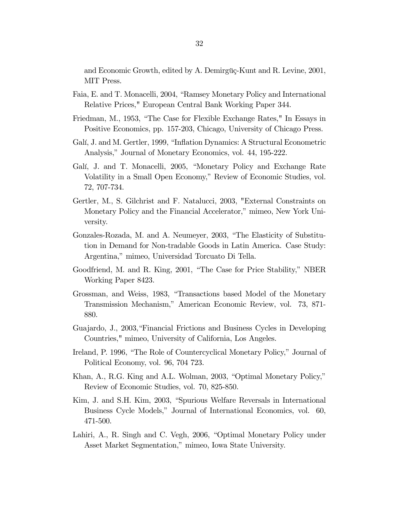and Economic Growth, edited by A. Demirgüç-Kunt and R. Levine, 2001, MIT Press.

- Faia, E. and T. Monacelli, 2004, "Ramsey Monetary Policy and International Relative Prices," European Central Bank Working Paper 344.
- Friedman, M., 1953, "The Case for Flexible Exchange Rates," In Essays in Positive Economics, pp. 157-203, Chicago, University of Chicago Press.
- Galí, J. and M. Gertler, 1999, "Inflation Dynamics: A Structural Econometric Analysis," Journal of Monetary Economics, vol. 44, 195-222.
- Galí, J. and T. Monacelli, 2005, "Monetary Policy and Exchange Rate Volatility in a Small Open Economy," Review of Economic Studies, vol. 72, 707-734.
- Gertler, M., S. Gilchrist and F. Natalucci, 2003, "External Constraints on Monetary Policy and the Financial Accelerator," mimeo, New York University.
- Gonzales-Rozada, M. and A. Neumeyer, 2003, "The Elasticity of Substitution in Demand for Non-tradable Goods in Latin America. Case Study: Argentina," mimeo, Universidad Torcuato Di Tella.
- Goodfriend, M. and R. King, 2001, "The Case for Price Stability," NBER Working Paper 8423.
- Grossman, and Weiss, 1983, "Transactions based Model of the Monetary Transmission Mechanism," American Economic Review, vol. 73, 871- 880.
- Guajardo, J., 2003,"Financial Frictions and Business Cycles in Developing Countries," mimeo, University of California, Los Angeles.
- Ireland, P. 1996, "The Role of Countercyclical Monetary Policy," Journal of Political Economy, vol. 96, 704 723.
- Khan, A., R.G. King and A.L. Wolman, 2003, "Optimal Monetary Policy," Review of Economic Studies, vol. 70, 825-850.
- Kim, J. and S.H. Kim, 2003, "Spurious Welfare Reversals in International Business Cycle Models," Journal of International Economics, vol. 60, 471-500.
- Lahiri, A., R. Singh and C. Vegh, 2006, "Optimal Monetary Policy under Asset Market Segmentation," mimeo, Iowa State University.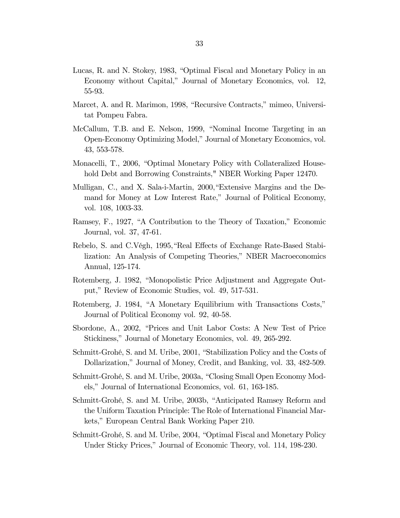- Lucas, R. and N. Stokey, 1983, "Optimal Fiscal and Monetary Policy in an Economy without Capital," Journal of Monetary Economics, vol. 12, 55-93.
- Marcet, A. and R. Marimon, 1998, "Recursive Contracts," mimeo, Universitat Pompeu Fabra.
- McCallum, T.B. and E. Nelson, 1999, "Nominal Income Targeting in an Open-Economy Optimizing Model," Journal of Monetary Economics, vol. 43, 553-578.
- Monacelli, T., 2006, "Optimal Monetary Policy with Collateralized Household Debt and Borrowing Constraints," NBER Working Paper 12470.
- Mulligan, C., and X. Sala-i-Martin, 2000,"Extensive Margins and the Demand for Money at Low Interest Rate," Journal of Political Economy, vol. 108, 1003-33.
- Ramsey, F., 1927, "A Contribution to the Theory of Taxation," Economic Journal, vol. 37, 47-61.
- Rebelo, S. and C.Végh, 1995,"Real Effects of Exchange Rate-Based Stabilization: An Analysis of Competing Theories," NBER Macroeconomics Annual, 125-174.
- Rotemberg, J. 1982, "Monopolistic Price Adjustment and Aggregate Output," Review of Economic Studies, vol. 49, 517-531.
- Rotemberg, J. 1984, "A Monetary Equilibrium with Transactions Costs," Journal of Political Economy vol. 92, 40-58.
- Sbordone, A., 2002, "Prices and Unit Labor Costs: A New Test of Price Stickiness," Journal of Monetary Economics, vol. 49, 265-292.
- Schmitt-Grohé, S. and M. Uribe, 2001, "Stabilization Policy and the Costs of Dollarization," Journal of Money, Credit, and Banking, vol. 33, 482-509.
- Schmitt-Grohé, S. and M. Uribe, 2003a, "Closing Small Open Economy Models," Journal of International Economics, vol. 61, 163-185.
- Schmitt-Grohé, S. and M. Uribe, 2003b, "Anticipated Ramsey Reform and the Uniform Taxation Principle: The Role of International Financial Markets," European Central Bank Working Paper 210.
- Schmitt-Grohé, S. and M. Uribe, 2004, "Optimal Fiscal and Monetary Policy Under Sticky Prices," Journal of Economic Theory, vol. 114, 198-230.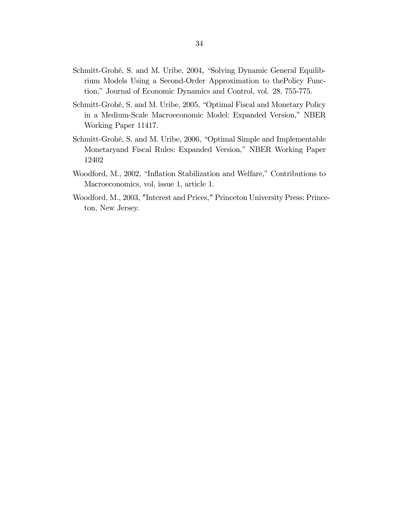- Schmitt-Grohé, S. and M. Uribe, 2004, "Solving Dynamic General Equilibrium Models Using a Second-Order Approximation to thePolicy Function," Journal of Economic Dynamics and Control, vol. 28, 755-775.
- Schmitt-Grohé, S. and M. Uribe, 2005, "Optimal Fiscal and Monetary Policy in a Medium-Scale Macroeconomic Model: Expanded Version," NBER Working Paper 11417.
- Schmitt-Grohé, S. and M. Uribe, 2006, "Optimal Simple and Implementable Monetaryand Fiscal Rules: Expanded Version," NBER Working Paper 12402
- Woodford, M., 2002, "Inflation Stabilization and Welfare," Contributions to Macroeconomics, vol, issue 1, article 1.
- Woodford, M., 2003, "Interest and Prices," Princeton University Press: Princeton, New Jersey.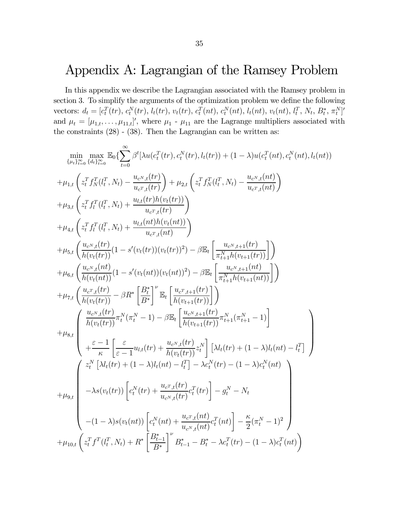## Appendix A: Lagrangian of the Ramsey Problem

In this appendix we describe the Lagrangian associated with the Ramsey problem in section 3. To simplify the arguments of the optimization problem we define the following vectors:  $d_t = [c_t^T(tr), c_t^N(tr), l_t(tr), v_t(tr), c_t^T(nt), c_t^N(nt), l_t(nt), v_t(nt), l_t^T, N_t, B_t^*, \pi_t^N]'$ and  $\mu_t = [\mu_{1,t}, \dots, \mu_{11,t}]'$ , where  $\mu_1$  -  $\mu_{11}$  are the Lagrange multipliers associated with the constraints  $(28) - (38)$ . Then the Lagrangian can be written as:

$$
\min_{\{u_t\}_{t=0}^{\infty}} \max_{\{d_i\}_{t=0}^{\infty}} \mathbb{E}_{0} \left\{ \sum_{t=0}^{\infty} \beta^{t} \left\{ \lambda u(c_{t}^{T}(tr), c_{t}^{N}(tr), l_{t}(tr)) + (1 - \lambda) u(c_{t}^{T}(nt), c_{t}^{N}(nt), l_{t}(nt)) \right\} + \mu_{1,t} \left( z_{t}^{T} f_{N}^{T}(l_{t}^{T}, N_{t}) - \frac{u_{c^{N},t}(tr)}{u_{c^{T},t}(tr)} \right) + \mu_{2,t} \left( z_{t}^{T} f_{N}^{T}(l_{t}^{T}, N_{t}) - \frac{u_{c^{N},t}(nt)}{u_{c^{T},t}(nt)} \right) + \mu_{3,t} \left( z_{t}^{T} f_{t}^{T}(l_{t}^{T}, N_{t}) + \frac{u_{t,t}(tr) h(v_{t}(tr))}{u_{c^{T},t}(nt)} \right) + \mu_{4,t} \left( z_{t}^{T} f_{t}^{T}(l_{t}^{T}, N_{t}) + \frac{u_{t,t}(tr) h(v_{t}(tr))}{u_{c^{T},t}(nt)} \right) + \mu_{5,t} \left( \frac{u_{c^{N},t}(tr)}{h(v_{t}(tr))} (1 - s'(v_{t}(tr))(v_{t}(tr))^{2}) - \beta \mathbb{E}_{t} \left[ \frac{u_{c^{N},t+1}(tr)}{\pi_{t+1}^{N}h(v_{t+1}(tr))} \right] \right) + \mu_{6,t} \left( \frac{u_{c^{N},t}(tr)}{h(v_{t}(tr))} (1 - s'(v_{t}(nt))(v_{t}(tr))^{2}) - \beta \mathbb{E}_{t} \left[ \frac{u_{c^{N},t+1}(tr)}{\pi_{t+1}^{N}h(v_{t+1}(tr))} \right] \right) + \mu_{7,t} \left( \frac{u_{c^{N},t}(tr)}{h(v_{t}(tr))} - \beta R^{*} \left[ \frac{B^{*}}{B^{*}} \right]^{V} \mathbb{E}_{t} \left[ \frac{u_{c^{N},t+1}(tr)}{h(v_{t+1}(tr))} \right] \right) + \mu_{8,t} \left( \frac{u_{c^{N},t}(tr)}{h(v_{t}(tr))} \pi_{t}^{N}( \pi_{t}^{N} - 1
$$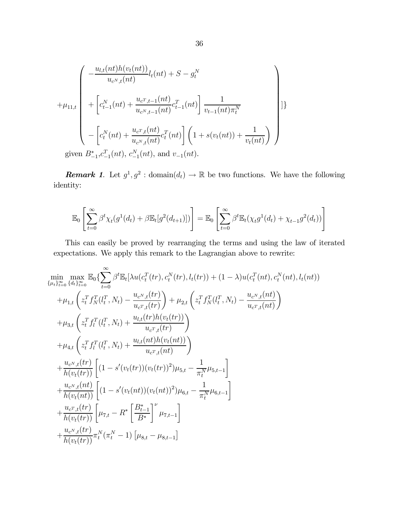$$
+\mu_{11,t}\left(\begin{array}{c} -\frac{u_{l,t}(nt)h(v_t(nt))}{u_{c^N,t}(nt)}l_t(nt) + S - g_t^N \\ \begin{array}{c} +\left[c_{t-1}^N(nt) + \frac{u_{c^T,t-1}(nt)}{u_{c^N,t-1}(nt)}c_{t-1}^T(nt)\right]\frac{1}{v_{t-1}(nt)\pi_t^N} \\ \\ -\left[c_t^N(nt) + \frac{u_{c^T,t}(nt)}{u_{c^N,t}(nt)}c_t^T(nt)\right]\left(1 + s(v_t(nt)) + \frac{1}{v_t(nt)}\right) \end{array}\right]\right]\}
$$
 given  $B_{-1}^*, c_{-1}^T(nt)$ ,  $c_{-1}^N(nt)$ , and  $v_{-1}(nt)$ .

**Remark 1.** Let  $g^1, g^2$  : domain $(d_t) \to \mathbb{R}$  be two functions. We have the following identity:

$$
\mathbb{E}_0\left[\sum_{t=0}^{\infty} \beta^t \chi_t(g^1(d_t) + \beta \mathbb{E}_t[g^2(d_{t+1})])\right] = \mathbb{E}_0\left[\sum_{t=0}^{\infty} \beta^t \mathbb{E}_t(\chi_t g^1(d_t) + \chi_{t-1} g^2(d_t))\right]
$$

This can easily be proved by rearranging the terms and using the law of iterated expectations. We apply this remark to the Lagrangian above to rewrite:

$$
\min_{\{\mu_t\}_{t=0}^{\infty}} \max_{\{d_t\}_{t=0}^{\infty}} \mathbb{E}_0\left\{ \sum_{t=0}^{\infty} \beta^t \mathbb{E}_t\left[ \lambda u(c_t^T(tr), c_t^N(tr), l_t(tr)) + (1 - \lambda)u(c_t^T(nt), c_t^N(nt), l_t(nt)) \right\}\n+ \mu_{1,t}\left( z_t^T f_N^T(l_t^T, N_t) - \frac{u_{c^N,t}(tr)}{u_{c^T,t}(tr)} \right) + \mu_{2,t}\left( z_t^T f_N^T(l_t^T, N_t) - \frac{u_{c^N,t}(ht)}{u_{c^T,t}(ht)} \right)\n+ \mu_{3,t}\left( z_t^T f_l^T(l_t^T, N_t) + \frac{u_{l,t}(tr)h(v_t(tr))}{u_{c^T,t}(tr)} \right)\n+ \mu_{4,t}\left( z_t^T f_l^T(l_t^T, N_t) + \frac{u_{l,t}(nt)h(v_t(nt))}{u_{c^T,t}(ht)} \right)\n+ \frac{u_{c^N,t}(tr)}{h(v_t(tr))}\left[ (1 - s'(v_t(tr))(v_t(tr))^2) \mu_{5,t} - \frac{1}{\pi_t^N} \mu_{5,t-1} \right]\n+ \frac{u_{c^N,t}(nt)}{h(v_t(nt))}\left[ (1 - s'(v_t(nt))(v_t(nt))^2) \mu_{6,t} - \frac{1}{\pi_t^N} \mu_{6,t-1} \right]\n+ \frac{u_{c^T,t}(tr)}{h(v_t(tr))}\left[ \mu_{7,t} - R^* \left[ \frac{B_{t-1}^*}{B^*} \right]^\nu \mu_{7,t-1} \right]\n+ \frac{u_{c^N,t}(tr)}{h(v_t(tr))}\pi_t^N(\pi_t^N - 1)\left[ \mu_{8,t} - \mu_{8,t-1} \right]
$$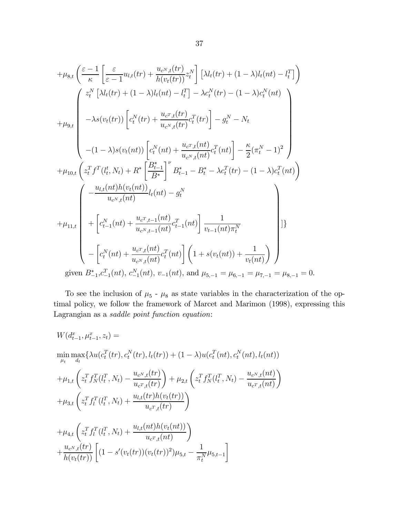$$
+\mu_{8,t} \left( \frac{\varepsilon - 1}{\kappa} \left[ \frac{\varepsilon}{\varepsilon - 1} u_{l,t}(tr) + \frac{u_{c^N,t}(tr)}{h(v_t(tr))} z_i^N \right] \left[ \lambda l_t(tr) + (1 - \lambda) l_t(nt) - l_t^T \right] \right)
$$
  

$$
+ \mu_{9,t} \left( \frac{z_i^N \left[ \lambda l_t(tr) + (1 - \lambda) l_t(nt) - l_t^T \right] - \lambda c_t^N(tr) - (1 - \lambda) c_t^N(nt)}{-\lambda s(v_t(tr)) \left[ c_t^N(tr) + \frac{u_{c^N,t}(tr)}{u_{c^N,t}(tr)} c_t^T(tr) \right] - g_t^N - N_t} - (1 - \lambda) s(v_t(nt)) \left[ c_t^N(nt) + \frac{u_{c^T,t}(ht)}{u_{c^N,t}(nt)} c_t^T(nt) \right] - \frac{\kappa}{2} (\pi_t^N - 1)^2 \right]
$$
  

$$
+ \mu_{10,t} \left( z_t^T f^T(l_t^t, N_t) + R^* \left[ \frac{B_{t-1}^*}{B^*} \right]^{\nu} B_{t-1}^* - B_t^* - \lambda c_t^T(tr) - (1 - \lambda) c_t^T(nt) \right)
$$
  

$$
+ \mu_{11,t} \left( -\frac{u_{l,t}(nt)h(v_t(nt))}{u_{c^N,t}(nt)} l_t(nt) - g_t^N + \left[ c_{t-1}^N(nt) + \frac{u_{c^T,t-1}(nt)u}{u_{c^N,t-1}(nt)} c_{t-1}^T(nt) \right] \frac{1}{v_{t-1}(nt) \pi_t^N}
$$
  

$$
- \left[ c_t^N(nt) + \frac{u_{c^T,t}(nt)}{u_{c^N,t}(nt)} c_t^T(nt) \right] \left( 1 + s(v_t(nt)) + \frac{1}{v_t(nt)} \right)
$$
  
given  $B_{-1}^* C_{-1}^T(nt), c_{-1}^N(nt), v_{-1}(nt),$  and  $\mu_{5,-1} = \mu_{6,-1} = \mu_{7,-1} = \mu_{8,-1} = 0.$ 

To see the inclusion of  $\mu_5$  -  $\mu_8$  as state variables in the characterization of the optimal policy, we follow the framework of Marcet and Marimon (1998), expressing this Lagrangian as a saddle point function equation:

$$
W(d_{t-1}^{x}, \mu_{t-1}^{x}, z_{t}) =
$$
  
\n
$$
\min_{\mu_{t}} \max \{ \lambda u(c_{t}^{T}(tr), c_{t}^{N}(tr), l_{t}(tr)) + (1 - \lambda) u(c_{t}^{T}(nt), c_{t}^{N}(nt), l_{t}(nt))
$$
  
\n
$$
+ \mu_{1,t} \left( z_{t}^{T} f_{N}^{T}(l_{t}^{T}, N_{t}) - \frac{u_{c^{N},t}(tr)}{u_{c^{T},t}(tr)} \right) + \mu_{2,t} \left( z_{t}^{T} f_{N}^{T}(l_{t}^{T}, N_{t}) - \frac{u_{c^{N},t}(nt)}{u_{c^{T},t}(nt)} \right)
$$
  
\n
$$
+ \mu_{3,t} \left( z_{t}^{T} f_{l}^{T}(l_{t}^{T}, N_{t}) + \frac{u_{l,t}(tr) h(v_{t}(tr))}{u_{c^{T},t}(tr)} \right)
$$
  
\n
$$
+ \mu_{4,t} \left( z_{t}^{T} f_{l}^{T}(l_{t}^{T}, N_{t}) + \frac{u_{l,t}(nt) h(v_{t}(nt))}{u_{c^{T},t}(nt)} \right)
$$
  
\n
$$
+ \frac{u_{c^{N},t}(tr)}{h(v_{t}(tr))} \left[ (1 - s'(v_{t}(tr))(v_{t}(tr))^{2}) \mu_{5,t} - \frac{1}{\pi_{t}^{N}} \mu_{5,t-1} \right]
$$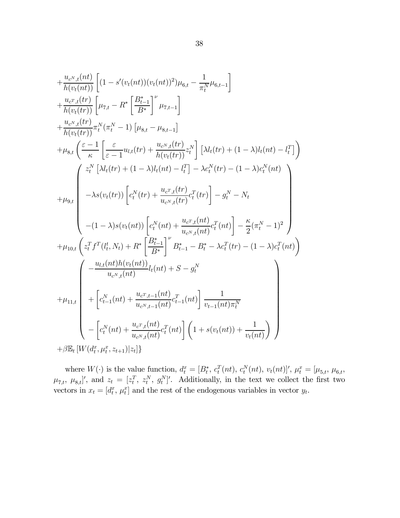$$
+\frac{u_{c^N,t}(nt)}{h(v_t(nt))}\left[(1-s'(v_t(nt))(v_t(nt))^2)\mu_{6,t} - \frac{1}{\pi_t^N}\mu_{6,t-1}\right] \n+\frac{u_{c^N,t}(tr)}{h(v_t(tr))}\left[\mu_{7,t} - R^* \left[\frac{B^*_{t-1}}{B^*}\right]^\nu \mu_{7,t-1}\right] \n+\frac{u_{c^N,t}(tr)}{h(v_t(tr))}\pi_t^N(\pi_t^N - 1)\left[\mu_{8,t} - \mu_{8,t-1}\right] \n+\mu_{8,t}\left(\frac{\varepsilon - 1}{\kappa}\left[\frac{\varepsilon}{\varepsilon - 1}u_{t,t}(tr) + \frac{u_{c^N,t}(tr)}{h(v_t(tr))}z_t^N\right]\left[\lambda l_t(tr) + (1 - \lambda)l_t(nt) - l_t^T\right]\right) \n+\mu_{9,t}\left(\frac{z_t^N\left[\lambda l_t(tr) + (1 - \lambda)l_t(nt) - l_t^T\right] - \lambda c_t^N(tr) - (1 - \lambda)c_t^N(nt)}{-\lambda s(v_t(tr))}\left[c_t^N(tr) + \frac{u_{c^N,t}(tr)}{u_{c^N,t}(tr)}c_t^T(tr)\right] - g_t^N - N_t \right. \n-(1 - \lambda)s(v_t(nt))\left[c_t^N(nt) + \frac{u_{c^T,t}(ht)}{u_{c^N,t}(nt)}c_t^T(nt)\right] - \frac{\kappa}{2}(\pi_t^N - 1)^2 \n+\mu_{10,t}\left(z_t^Tf^T(l_t^t, N_t) + R^* \left[\frac{B^*_{t-1}}{B^*}\right]^\nu B^*_{t-1} - B^*_t - \lambda c_t^T(tr) - (1 - \lambda)c_t^T(nt)\right) \n+\mu_{11,t}\left(\frac{u_{c^N,t}(nt)}{u_{c^N,t}(nt)}l_t(nt) + S - g_t^N \right. \n+\mu_{11,t}\left(\frac{u_{c^N,t}(nt)}{u_{c^N,t}(nt)}c_t^T(nt)\right)\left(1 + s(v_t(nt)) + \frac{1}{v_t(nt)}\right) \right) \n+ \beta \mathbb{E}_t\left[W(d_t^*,\mu_t^*,z_{t+1})|z_t|\right)
$$

where  $W(\cdot)$  is the value function,  $d_t^x = [B_t^*, c_t^T(nt), c_t^N(nt), v_t(nt)]'$ ,  $\mu_t^x = [\mu_{5,t}, \mu_{6,t},$  $\mu_{7,t}, \mu_{8,t}$ ', and  $z_t = [z_t^T, z_t^N, g_t^N]'$ . Additionally, in the text we collect the first two vectors in  $x_t = [d_t^x, \mu_t^x]$  and the rest of the endogenous variables in vector  $y_t$ .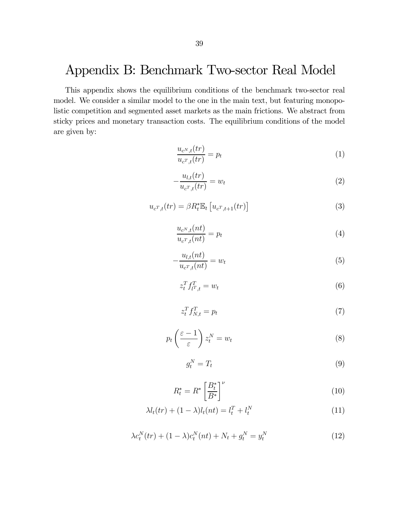# Appendix B: Benchmark Two-sector Real Model

This appendix shows the equilibrium conditions of the benchmark two-sector real model. We consider a similar model to the one in the main text, but featuring monopolistic competition and segmented asset markets as the main frictions. We abstract from sticky prices and monetary transaction costs. The equilibrium conditions of the model are given by:

$$
\frac{u_{c^N,t}(tr)}{u_{c^T,t}(tr)} = p_t \tag{1}
$$

$$
-\frac{u_{l,t}(tr)}{u_{c^T,t}(tr)} = w_t
$$
\n<sup>(2)</sup>

$$
u_{c^T,t}(tr) = \beta R_t^* \mathbb{E}_t \left[ u_{c^T,t+1}(tr) \right]
$$
 (3)

$$
\frac{u_{c^N,t}(nt)}{u_{c^T,t}(nt)} = p_t
$$
\n<sup>(4)</sup>

$$
-\frac{u_{l,t}(nt)}{u_{c^T,t}(nt)} = w_t
$$
\n<sup>(5)</sup>

$$
z_t^T f_{t^T,t}^T = w_t \tag{6}
$$

$$
z_t^T f_{N,t}^T = p_t \tag{7}
$$

$$
p_t\left(\frac{\varepsilon-1}{\varepsilon}\right)z_t^N = w_t \tag{8}
$$

$$
g_t^N = T_t \tag{9}
$$

$$
R_t^* = R^* \left[ \frac{B_t^*}{B^*} \right]^\nu \tag{10}
$$

$$
\lambda l_t(tr) + (1 - \lambda)l_t(nt) = l_t^T + l_t^N
$$
\n(11)

$$
\lambda c_t^N(tr) + (1 - \lambda)c_t^N(nt) + N_t + g_t^N = y_t^N
$$
\n(12)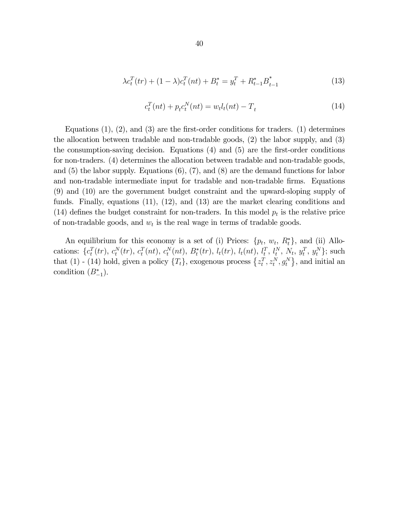$$
\lambda c_t^T(tr) + (1 - \lambda)c_t^T(nt) + B_t^* = y_t^T + R_{t-1}^*B_{t-1}^*
$$
\n(13)

$$
c_t^T(nt) + p_t c_t^N(nt) = w_t l_t(nt) - T_t
$$
\n(14)

Equations  $(1)$ ,  $(2)$ , and  $(3)$  are the first-order conditions for traders.  $(1)$  determines the allocation between tradable and non-tradable goods, (2) the labor supply, and (3) the consumption-saving decision. Equations (4) and (5) are the first-order conditions for non-traders. (4) determines the allocation between tradable and non-tradable goods, and (5) the labor supply. Equations (6), (7), and (8) are the demand functions for labor and non-tradable intermediate input for tradable and non-tradable firms. Equations (9) and (10) are the government budget constraint and the upward-sloping supply of funds. Finally, equations (11), (12), and (13) are the market clearing conditions and (14) defines the budget constraint for non-traders. In this model  $p_t$  is the relative price of non-tradable goods, and  $w_t$  is the real wage in terms of tradable goods.

An equilibrium for this economy is a set of (i) Prices:  $\{p_t, w_t, R_t^*\}$ , and (ii) Allocations:  $\{c_t^T(tr), c_t^N(tr), c_t^T(nt), c_t^N(nt), B_t^*(tr), l_t(tr), l_t(nt), l_t^T, l_t^N, N_t, y_t^T, y_t^N\};$  such that (1) - (14) hold, given a policy  $\{T_t\}$ , exogenous process  $\{z_t^T, z_t^N, g_t^N\}$ , and initial an condition  $(B_{-1}^*)$ .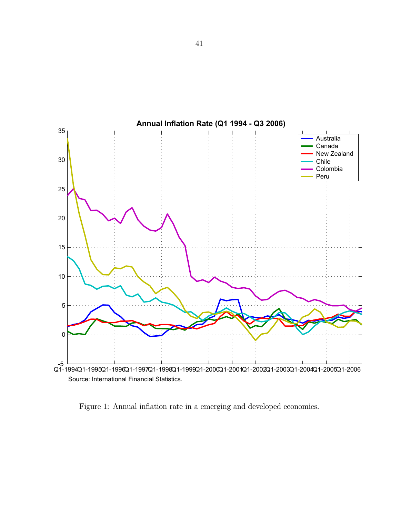

Source: International Financial Statistics.

Figure 1: Annual inflation rate in a emerging and developed economies.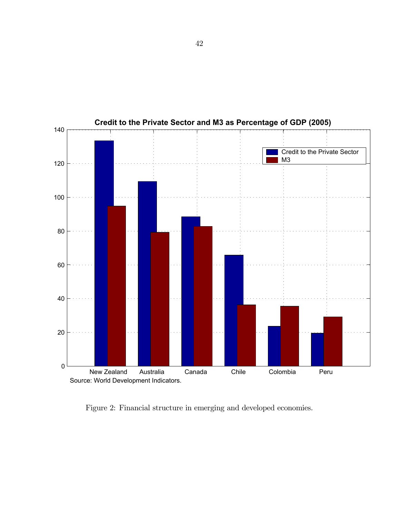

**Credit to the Private Sector and M3 as Percentage of GDP (2005)**

Figure 2: Financial structure in emerging and developed economies.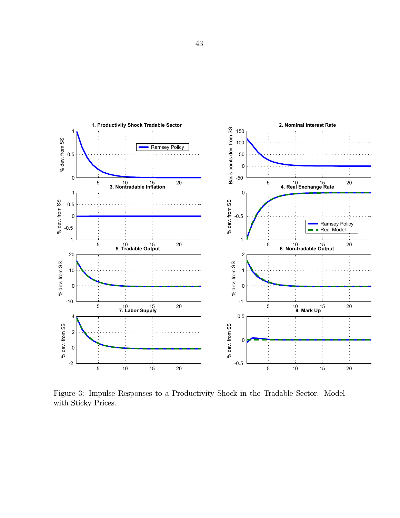

Figure 3: Impulse Responses to a Productivity Shock in the Tradable Sector. Model with Sticky Prices.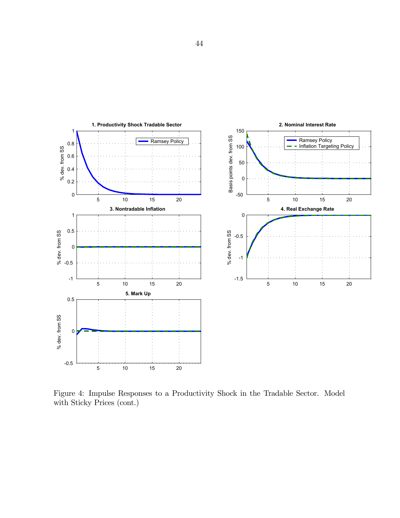

Figure 4: Impulse Responses to a Productivity Shock in the Tradable Sector. Model with Sticky Prices (cont.)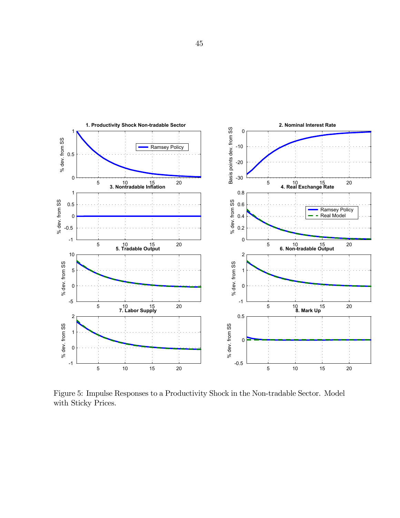

Figure 5: Impulse Responses to a Productivity Shock in the Non-tradable Sector. Model with Sticky Prices.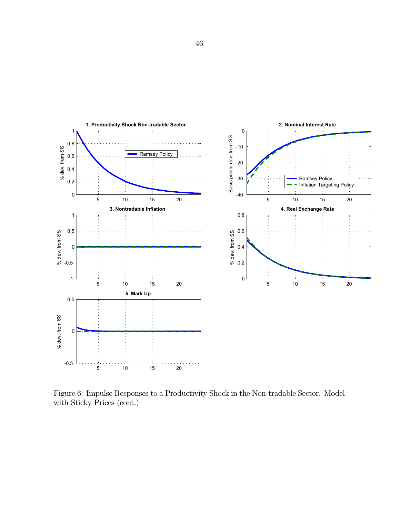

Figure 6: Impulse Responses to a Productivity Shock in the Non-tradable Sector. Model with Sticky Prices (cont.)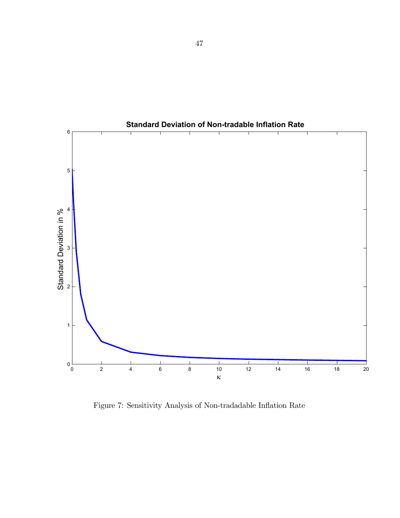

**Standard Deviation of Non-tradable Inflation Rate**

Figure 7: Sensitivity Analysis of Non-tradadable Inflation Rate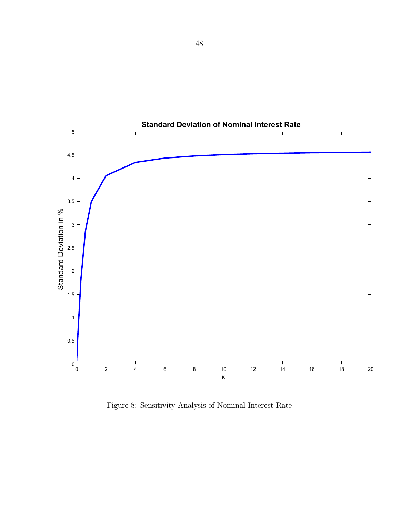

**Standard Deviation of Nominal Interest Rate**

Figure 8: Sensitivity Analysis of Nominal Interest Rate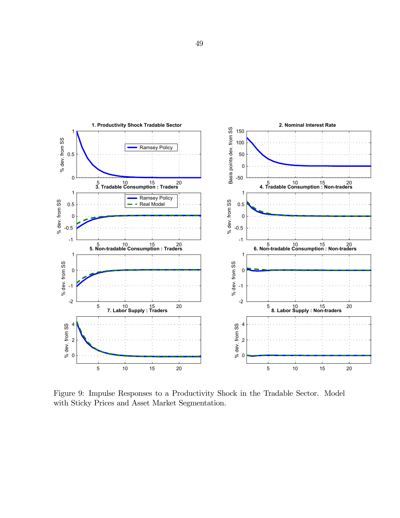

Figure 9: Impulse Responses to a Productivity Shock in the Tradable Sector. Model with Sticky Prices and Asset Market Segmentation.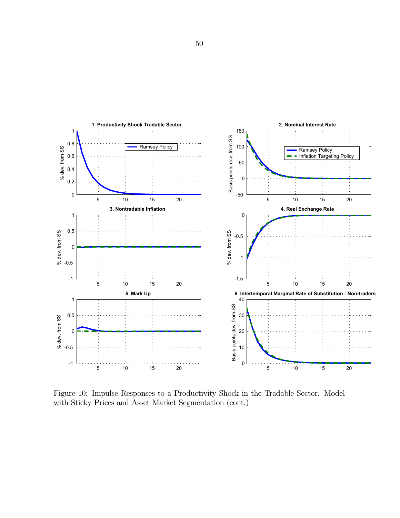

Figure 10: Impulse Responses to a Productivity Shock in the Tradable Sector. Model with Sticky Prices and Asset Market Segmentation (cont.)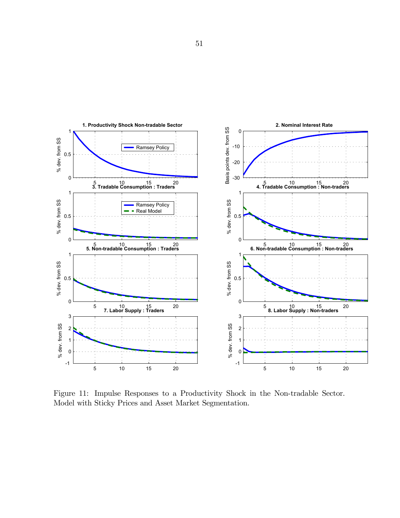

Figure 11: Impulse Responses to a Productivity Shock in the Non-tradable Sector. Model with Sticky Prices and Asset Market Segmentation.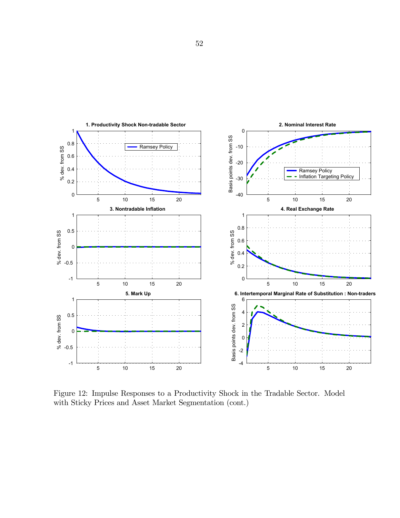

Figure 12: Impulse Responses to a Productivity Shock in the Tradable Sector. Model with Sticky Prices and Asset Market Segmentation (cont.)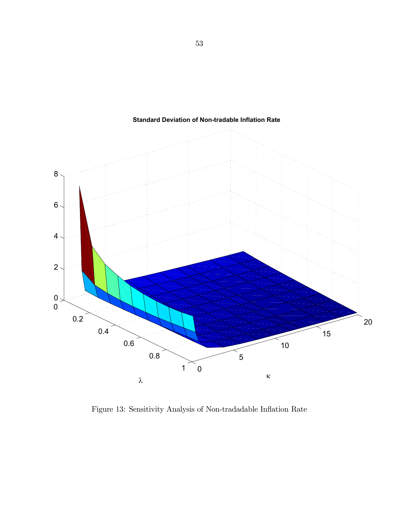

**Standard Deviation of Non-tradable Inflation Rate**

Figure 13: Sensitivity Analysis of Non-tradadable Inflation Rate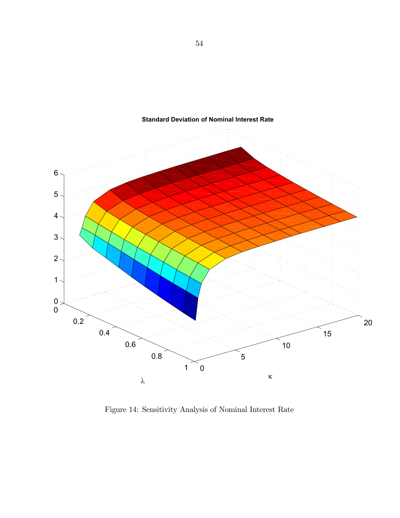

**Standard Deviation of Nominal Interest Rate**

Figure 14: Sensitivity Analysis of Nominal Interest Rate